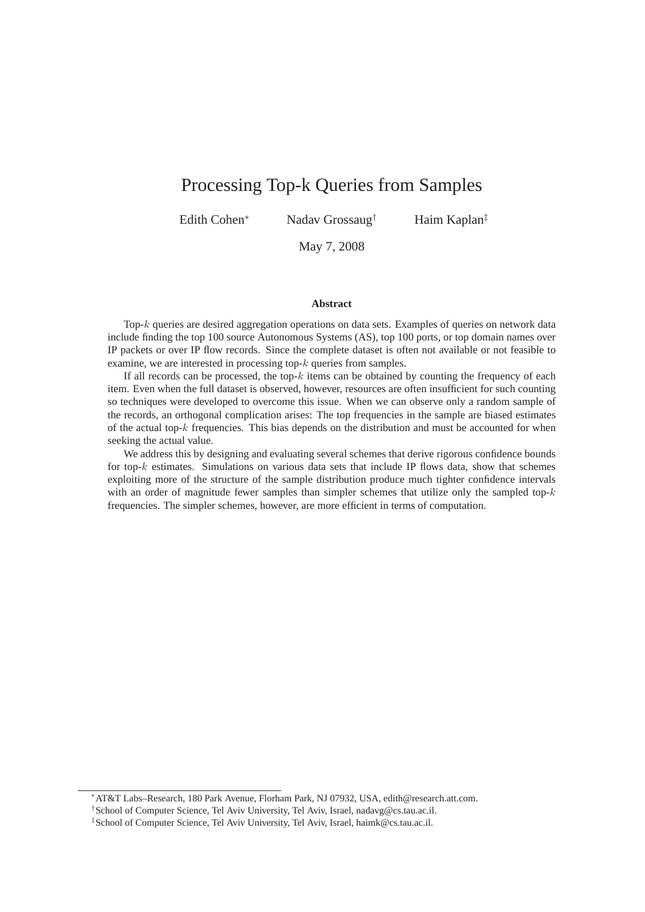# Processing Top-k Queries from Samples

Edith Cohen<sup>∗</sup> Nadav Grossaug† Haim Kaplan‡

May 7, 2008

### **Abstract**

Top-k queries are desired aggregation operations on data sets. Examples of queries on network data include finding the top 100 source Autonomous Systems (AS), top 100 ports, or top domain names over IP packets or over IP flow records. Since the complete dataset is often not available or not feasible to examine, we are interested in processing top-k queries from samples.

If all records can be processed, the top- $k$  items can be obtained by counting the frequency of each item. Even when the full dataset is observed, however, resources are often insufficient for such counting so techniques were developed to overcome this issue. When we can observe only a random sample of the records, an orthogonal complication arises: The top frequencies in the sample are biased estimates of the actual top- $k$  frequencies. This bias depends on the distribution and must be accounted for when seeking the actual value.

We address this by designing and evaluating several schemes that derive rigorous confidence bounds for top- $k$  estimates. Simulations on various data sets that include IP flows data, show that schemes exploiting more of the structure of the sample distribution produce much tighter confidence intervals with an order of magnitude fewer samples than simpler schemes that utilize only the sampled top- $k$ frequencies. The simpler schemes, however, are more efficient in terms of computation.

<sup>∗</sup>AT&T Labs–Research, 180 Park Avenue, Florham Park, NJ 07932, USA, edith@research.att.com.

<sup>†</sup> School of Computer Science, Tel Aviv University, Tel Aviv, Israel, nadavg@cs.tau.ac.il.

<sup>‡</sup> School of Computer Science, Tel Aviv University, Tel Aviv, Israel, haimk@cs.tau.ac.il.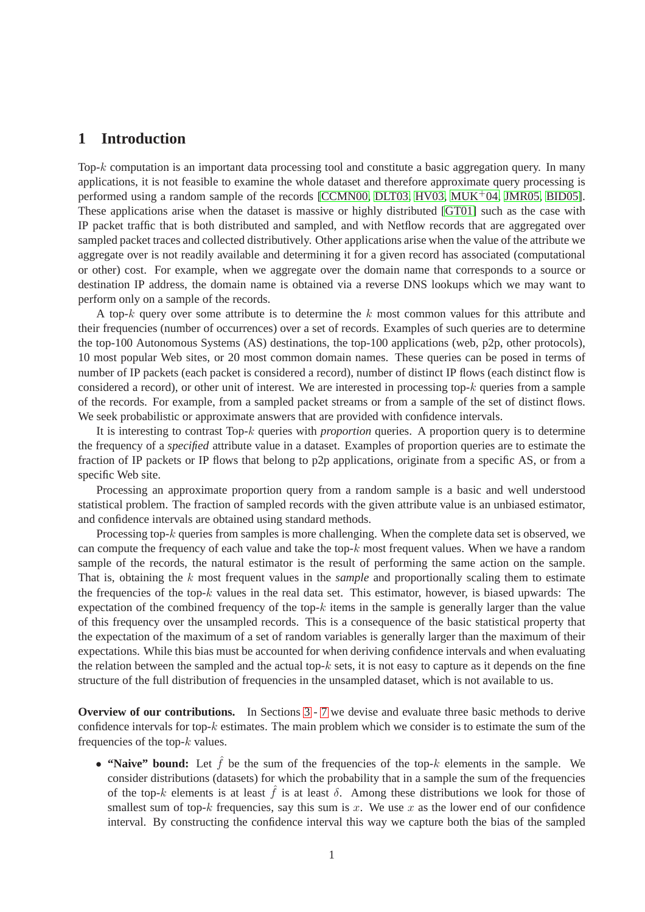# **1 Introduction**

Top- $k$  computation is an important data processing tool and constitute a basic aggregation query. In many applications, it is not feasible to examine the whole dataset and therefore approximate query processing is performed using a random sample of the records [\[CCMN00,](#page-27-0) [DLT03,](#page-28-0) [HV03,](#page-29-0) [MUK](#page-29-1)+04, [JMR05,](#page-29-2) [BID05\]](#page-27-1). These applications arise when the dataset is massive or highly distributed [\[GT01\]](#page-29-3) such as the case with IP packet traffic that is both distributed and sampled, and with Netflow records that are aggregated over sampled packet traces and collected distributively. Other applications arise when the value of the attribute we aggregate over is not readily available and determining it for a given record has associated (computational or other) cost. For example, when we aggregate over the domain name that corresponds to a source or destination IP address, the domain name is obtained via a reverse DNS lookups which we may want to perform only on a sample of the records.

A top- $k$  query over some attribute is to determine the  $k$  most common values for this attribute and their frequencies (number of occurrences) over a set of records. Examples of such queries are to determine the top-100 Autonomous Systems (AS) destinations, the top-100 applications (web, p2p, other protocols), 10 most popular Web sites, or 20 most common domain names. These queries can be posed in terms of number of IP packets (each packet is considered a record), number of distinct IP flows (each distinct flow is considered a record), or other unit of interest. We are interested in processing top-k queries from a sample of the records. For example, from a sampled packet streams or from a sample of the set of distinct flows. We seek probabilistic or approximate answers that are provided with confidence intervals.

It is interesting to contrast Top-k queries with *proportion* queries. A proportion query is to determine the frequency of a *specified* attribute value in a dataset. Examples of proportion queries are to estimate the fraction of IP packets or IP flows that belong to p2p applications, originate from a specific AS, or from a specific Web site.

Processing an approximate proportion query from a random sample is a basic and well understood statistical problem. The fraction of sampled records with the given attribute value is an unbiased estimator, and confidence intervals are obtained using standard methods.

Processing top-k queries from samples is more challenging. When the complete data set is observed, we can compute the frequency of each value and take the top-k most frequent values. When we have a random sample of the records, the natural estimator is the result of performing the same action on the sample. That is, obtaining the k most frequent values in the *sample* and proportionally scaling them to estimate the frequencies of the top- $k$  values in the real data set. This estimator, however, is biased upwards: The expectation of the combined frequency of the top- $k$  items in the sample is generally larger than the value of this frequency over the unsampled records. This is a consequence of the basic statistical property that the expectation of the maximum of a set of random variables is generally larger than the maximum of their expectations. While this bias must be accounted for when deriving confidence intervals and when evaluating the relation between the sampled and the actual top- $k$  sets, it is not easy to capture as it depends on the fine structure of the full distribution of frequencies in the unsampled dataset, which is not available to us.

**Overview of our contributions.** In Sections [3](#page-7-0) - [7](#page-19-0) we devise and evaluate three basic methods to derive confidence intervals for top- $k$  estimates. The main problem which we consider is to estimate the sum of the frequencies of the top-k values.

• **"Naive" bound:** Let  $\hat{f}$  be the sum of the frequencies of the top-k elements in the sample. We consider distributions (datasets) for which the probability that in a sample the sum of the frequencies of the top-k elements is at least  $\hat{f}$  is at least  $\delta$ . Among these distributions we look for those of smallest sum of top-k frequencies, say this sum is x. We use x as the lower end of our confidence interval. By constructing the confidence interval this way we capture both the bias of the sampled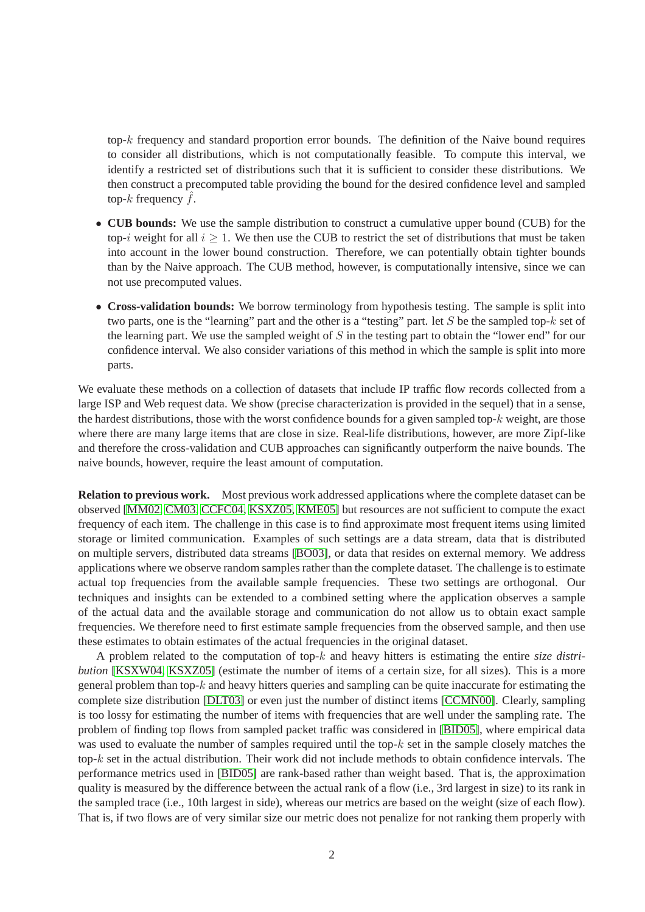top-k frequency and standard proportion error bounds. The definition of the Naive bound requires to consider all distributions, which is not computationally feasible. To compute this interval, we identify a restricted set of distributions such that it is sufficient to consider these distributions. We then construct a precomputed table providing the bound for the desired confidence level and sampled top- $k$  frequency  $\ddot{f}$ .

- **CUB bounds:** We use the sample distribution to construct a cumulative upper bound (CUB) for the top-i weight for all  $i \geq 1$ . We then use the CUB to restrict the set of distributions that must be taken into account in the lower bound construction. Therefore, we can potentially obtain tighter bounds than by the Naive approach. The CUB method, however, is computationally intensive, since we can not use precomputed values.
- **Cross-validation bounds:** We borrow terminology from hypothesis testing. The sample is split into two parts, one is the "learning" part and the other is a "testing" part. let S be the sampled top-k set of the learning part. We use the sampled weight of  $S$  in the testing part to obtain the "lower end" for our confidence interval. We also consider variations of this method in which the sample is split into more parts.

We evaluate these methods on a collection of datasets that include IP traffic flow records collected from a large ISP and Web request data. We show (precise characterization is provided in the sequel) that in a sense, the hardest distributions, those with the worst confidence bounds for a given sampled top- $k$  weight, are those where there are many large items that are close in size. Real-life distributions, however, are more Zipf-like and therefore the cross-validation and CUB approaches can significantly outperform the naive bounds. The naive bounds, however, require the least amount of computation.

**Relation to previous work.** Most previous work addressed applications where the complete dataset can be observed [\[MM02,](#page-29-4) [CM03,](#page-28-1) [CCFC04,](#page-27-2) [KSXZ05,](#page-29-5) [KME05\]](#page-29-6) but resources are not sufficient to compute the exact frequency of each item. The challenge in this case is to find approximate most frequent items using limited storage or limited communication. Examples of such settings are a data stream, data that is distributed on multiple servers, distributed data streams [\[BO03\]](#page-27-3), or data that resides on external memory. We address applications where we observe random samples rather than the complete dataset. The challenge is to estimate actual top frequencies from the available sample frequencies. These two settings are orthogonal. Our techniques and insights can be extended to a combined setting where the application observes a sample of the actual data and the available storage and communication do not allow us to obtain exact sample frequencies. We therefore need to first estimate sample frequencies from the observed sample, and then use these estimates to obtain estimates of the actual frequencies in the original dataset.

A problem related to the computation of top-k and heavy hitters is estimating the entire *size distribution* [\[KSXW04,](#page-29-7) [KSXZ05\]](#page-29-5) (estimate the number of items of a certain size, for all sizes). This is a more general problem than top- $k$  and heavy hitters queries and sampling can be quite inaccurate for estimating the complete size distribution [\[DLT03\]](#page-28-0) or even just the number of distinct items [\[CCMN00\]](#page-27-0). Clearly, sampling is too lossy for estimating the number of items with frequencies that are well under the sampling rate. The problem of finding top flows from sampled packet traffic was considered in [\[BID05\]](#page-27-1), where empirical data was used to evaluate the number of samples required until the top-k set in the sample closely matches the top-k set in the actual distribution. Their work did not include methods to obtain confidence intervals. The performance metrics used in [\[BID05\]](#page-27-1) are rank-based rather than weight based. That is, the approximation quality is measured by the difference between the actual rank of a flow (i.e., 3rd largest in size) to its rank in the sampled trace (i.e., 10th largest in side), whereas our metrics are based on the weight (size of each flow). That is, if two flows are of very similar size our metric does not penalize for not ranking them properly with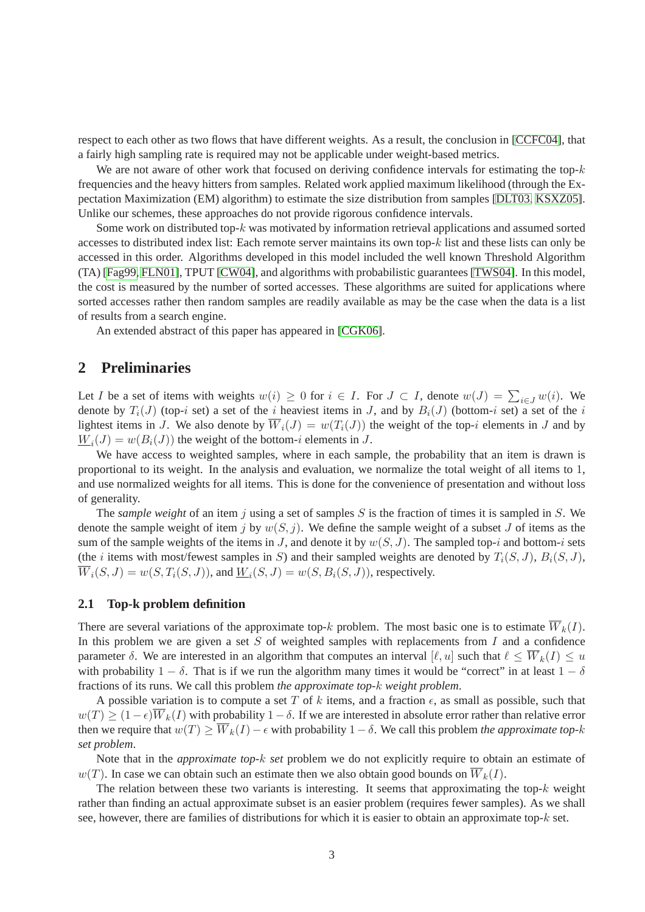respect to each other as two flows that have different weights. As a result, the conclusion in [\[CCFC04\]](#page-27-2), that a fairly high sampling rate is required may not be applicable under weight-based metrics.

We are not aware of other work that focused on deriving confidence intervals for estimating the top- $k$ frequencies and the heavy hitters from samples. Related work applied maximum likelihood (through the Expectation Maximization (EM) algorithm) to estimate the size distribution from samples [\[DLT03,](#page-28-0) [KSXZ05\]](#page-29-5). Unlike our schemes, these approaches do not provide rigorous confidence intervals.

Some work on distributed top- $k$  was motivated by information retrieval applications and assumed sorted accesses to distributed index list: Each remote server maintains its own top-k list and these lists can only be accessed in this order. Algorithms developed in this model included the well known Threshold Algorithm (TA) [\[Fag99,](#page-29-8) [FLN01\]](#page-29-9), TPUT [\[CW04\]](#page-28-2), and algorithms with probabilistic guarantees [\[TWS04\]](#page-29-10). In this model, the cost is measured by the number of sorted accesses. These algorithms are suited for applications where sorted accesses rather then random samples are readily available as may be the case when the data is a list of results from a search engine.

An extended abstract of this paper has appeared in [\[CGK06\]](#page-28-3).

### <span id="page-3-0"></span>**2 Preliminaries**

Let I be a set of items with weights  $w(i) \geq 0$  for  $i \in I$ . For  $J \subset I$ , denote  $w(J) = \sum_{i \in J} w(i)$ . We denote by  $T_i(J)$  (top-i set) a set of the i heaviest items in J, and by  $B_i(J)$  (bottom-i set) a set of the i lightest items in J. We also denote by  $\overline{W}_i(J) = w(T_i(J))$  the weight of the top-i elements in J and by  $\underline{W}_i(J) = w(B_i(J))$  the weight of the bottom-*i* elements in J.

We have access to weighted samples, where in each sample, the probability that an item is drawn is proportional to its weight. In the analysis and evaluation, we normalize the total weight of all items to 1, and use normalized weights for all items. This is done for the convenience of presentation and without loss of generality.

The *sample weight* of an item j using a set of samples S is the fraction of times it is sampled in S. We denote the sample weight of item j by  $w(S, j)$ . We define the sample weight of a subset J of items as the sum of the sample weights of the items in J, and denote it by  $w(S, J)$ . The sampled top-i and bottom-i sets (the i items with most/fewest samples in S) and their sampled weights are denoted by  $T_i(S, J)$ ,  $B_i(S, J)$ ,  $W_i(S, J) = w(S, T_i(S, J))$ , and  $\underline{W}_i(S, J) = w(S, B_i(S, J))$ , respectively.

#### **2.1 Top-k problem definition**

There are several variations of the approximate top-k problem. The most basic one is to estimate  $\overline{W}_k(I)$ . In this problem we are given a set  $S$  of weighted samples with replacements from  $I$  and a confidence parameter  $\delta$ . We are interested in an algorithm that computes an interval  $[\ell, u]$  such that  $\ell \leq \overline{W}_k(I) \leq u$ with probability  $1 - \delta$ . That is if we run the algorithm many times it would be "correct" in at least  $1 - \delta$ fractions of its runs. We call this problem *the approximate top-*k *weight problem*.

A possible variation is to compute a set T of k items, and a fraction  $\epsilon$ , as small as possible, such that  $w(T) \ge (1-\epsilon)\overline{W}_k(I)$  with probability  $1-\delta$ . If we are interested in absolute error rather than relative error then we require that  $w(T) \geq \overline{W}_k(I) - \epsilon$  with probability  $1 - \delta$ . We call this problem *the approximate top-k set problem*.

Note that in the *approximate top-*k *set* problem we do not explicitly require to obtain an estimate of  $w(T)$ . In case we can obtain such an estimate then we also obtain good bounds on  $\overline{W}_k(I)$ .

The relation between these two variants is interesting. It seems that approximating the top- $k$  weight rather than finding an actual approximate subset is an easier problem (requires fewer samples). As we shall see, however, there are families of distributions for which it is easier to obtain an approximate top-k set.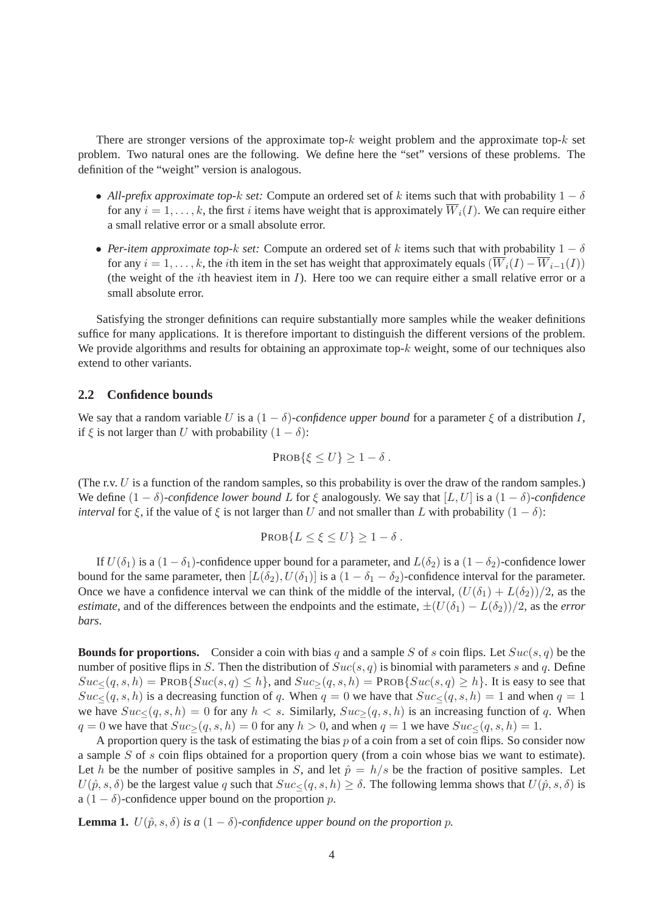There are stronger versions of the approximate top- $k$  weight problem and the approximate top- $k$  set problem. Two natural ones are the following. We define here the "set" versions of these problems. The definition of the "weight" version is analogous.

- *All-prefix approximate top-k set:* Compute an ordered set of k items such that with probability  $1 \delta$ for any  $i = 1, \ldots, k$ , the first i items have weight that is approximately  $\overline{W}_i(I)$ . We can require either a small relative error or a small absolute error.
- *Per-item approximate top-k set:* Compute an ordered set of k items such that with probability  $1 \delta$ for any  $i = 1, \ldots, k$ , the *i*th item in the set has weight that approximately equals  $(\overline{W}_i(I) - \overline{W}_{i-1}(I))$ (the weight of the *i*th heaviest item in  $I$ ). Here too we can require either a small relative error or a small absolute error.

Satisfying the stronger definitions can require substantially more samples while the weaker definitions suffice for many applications. It is therefore important to distinguish the different versions of the problem. We provide algorithms and results for obtaining an approximate top- $k$  weight, some of our techniques also extend to other variants.

### <span id="page-4-1"></span>**2.2 Confidence bounds**

We say that a random variable U is a  $(1 - \delta)$ -confidence upper bound for a parameter  $\xi$  of a distribution I, if  $\xi$  is not larger than U with probability  $(1 - \delta)$ :

$$
\text{PROB}\{\xi \le U\} \ge 1 - \delta \,.
$$

(The r.v.  $U$  is a function of the random samples, so this probability is over the draw of the random samples.) We define  $(1 - \delta)$ -confidence lower bound L for  $\xi$  analogously. We say that  $[L, U]$  is a  $(1 - \delta)$ -confidence *interval* for  $\xi$ , if the value of  $\xi$  is not larger than U and not smaller than L with probability  $(1 - \delta)$ :

$$
\text{PROB}\{L \le \xi \le U\} \ge 1 - \delta.
$$

If  $U(\delta_1)$  is a  $(1 - \delta_1)$ -confidence upper bound for a parameter, and  $L(\delta_2)$  is a  $(1 - \delta_2)$ -confidence lower bound for the same parameter, then  $[L(\delta_2), U(\delta_1)]$  is a  $(1 - \delta_1 - \delta_2)$ -confidence interval for the parameter. Once we have a confidence interval we can think of the middle of the interval,  $(U(\delta_1) + L(\delta_2))/2$ , as the *estimate*, and of the differences between the endpoints and the estimate,  $\pm (U(\delta_1) - L(\delta_2))/2$ , as the *error bars*.

**Bounds for proportions.** Consider a coin with bias q and a sample S of s coin flips. Let  $Suc(s, q)$  be the number of positive flips in S. Then the distribution of  $Suc(s, q)$  is binomial with parameters s and q. Define  $Suc<(q,s,h) = \text{PROB}\{Suc(s,q) \leq h\}$ , and  $Suc>(q,s,h) = \text{PROB}\{Suc(s,q) \geq h\}$ . It is easy to see that  $Suc<(q,s,h)$  is a decreasing function of q. When  $q=0$  we have that  $Suc<(q,s,h)=1$  and when  $q=1$ we have  $Suc_{\leq}(q, s, h) = 0$  for any  $h < s$ . Similarly,  $Suc_{\geq}(q, s, h)$  is an increasing function of q. When  $q = 0$  we have that  $Suc>(q, s, h) = 0$  for any  $h > 0$ , and when  $q = 1$  we have  $Suc<(q, s, h) = 1$ .

A proportion query is the task of estimating the bias  $p$  of a coin from a set of coin flips. So consider now a sample S of s coin flips obtained for a proportion query (from a coin whose bias we want to estimate). Let h be the number of positive samples in S, and let  $\hat{p} = h/s$  be the fraction of positive samples. Let  $U(\hat{p}, s, \delta)$  be the largest value q such that  $Suc<(q,s,h) \geq \delta$ . The following lemma shows that  $U(\hat{p}, s, \delta)$  is a  $(1 - \delta)$ -confidence upper bound on the proportion p.

<span id="page-4-0"></span>**Lemma 1.**  $U(\hat{p}, s, \delta)$  *is a*  $(1 - \delta)$ *-confidence upper bound on the proportion*  $p$ *.*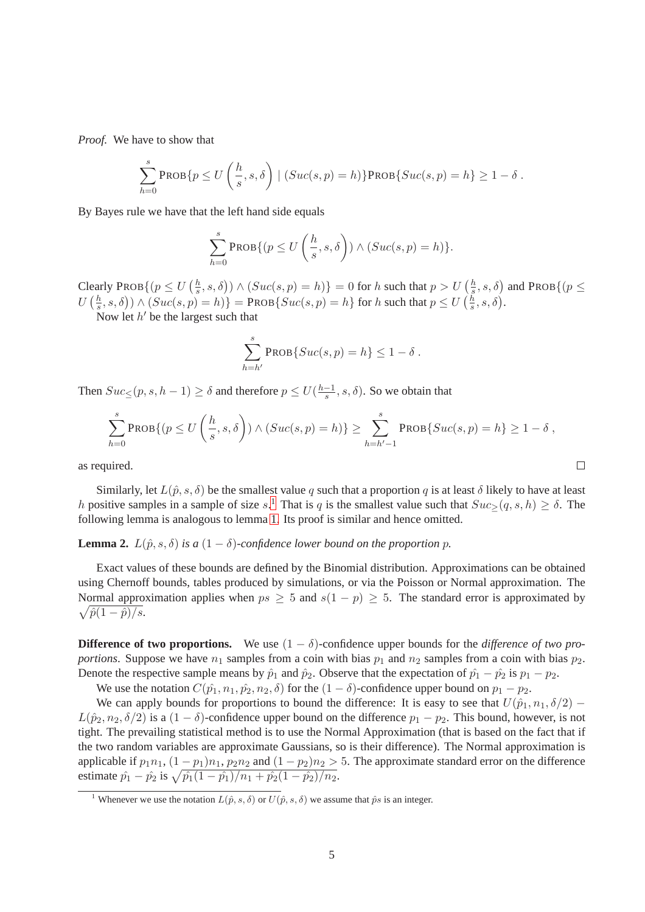*Proof.* We have to show that

$$
\sum_{h=0}^{s} \text{PROB}\{p \le U\left(\frac{h}{s}, s, \delta\right) \mid (Suc(s, p) = h)\}\text{PROB}\{Suc(s, p) = h\} \ge 1 - \delta.
$$

By Bayes rule we have that the left hand side equals

$$
\sum_{h=0}^{s} \text{PROB}\{(p \le U\left(\frac{h}{s}, s, \delta\right)) \wedge (Suc(s, p) = h)\}.
$$

Clearly  $\text{PROB}\left\{ (p \leq U \right\}$  $(\frac{h}{s}, s, \delta)) \wedge (Suc(s, p) = h) \} = 0$  for h such that  $p > U(\frac{h}{s})$  $\frac{h}{s}, s, \delta$ ) and PROB $\{ (p \leq$  $U\left(\frac{h}{s}\right)$  $\left(\frac{h}{s}, s, \delta\right)$ )  $\wedge$   $(Suc(s, p) = h)$ } = PROB $\{Suc(s, p) = h\}$  for h such that  $p \leq U\left(\frac{h}{s}\right)$  $\frac{h}{s}, s, \delta$ ).

Now let  $h'$  be the largest such that

$$
\sum_{h=h'}^{s} \text{PROB}\{Suc(s,p) = h\} \le 1 - \delta.
$$

Then  $Suc \leq (p, s, h-1) \geq \delta$  and therefore  $p \leq U(\frac{h-1}{s}, s, \delta)$ . So we obtain that

$$
\sum_{h=0}^{s} \text{PROB}\{(p \le U\left(\frac{h}{s}, s, \delta\right)) \land (Suc(s, p) = h)\} \ge \sum_{h=h'-1}^{s} \text{PROB}\{Suc(s, p) = h\} \ge 1 - \delta,
$$

 $\Box$ 

as required.

Similarly, let  $L(\hat{p}, s, \delta)$  be the smallest value q such that a proportion q is at least  $\delta$  likely to have at least h positive samples in a sample of size s.<sup>[1](#page-5-0)</sup> That is q is the smallest value such that  $Suc_{\geq}(q, s, h) \geq \delta$ . The following lemma is analogous to lemma [1.](#page-4-0) Its proof is similar and hence omitted.

### <span id="page-5-1"></span>**Lemma 2.**  $L(\hat{p}, s, \delta)$  *is a*  $(1 - \delta)$ *-confidence lower bound on the proportion* p.

Exact values of these bounds are defined by the Binomial distribution. Approximations can be obtained using Chernoff bounds, tables produced by simulations, or via the Poisson or Normal approximation. The  $\sqrt{\hat{p}(1-\hat{p})/s}.$ Normal approximation applies when  $ps \ge 5$  and  $s(1 - p) \ge 5$ . The standard error is approximated by

**Difference of two proportions.** We use  $(1 - \delta)$ -confidence upper bounds for the *difference of two proportions*. Suppose we have  $n_1$  samples from a coin with bias  $p_1$  and  $n_2$  samples from a coin with bias  $p_2$ . Denote the respective sample means by  $\hat{p}_1$  and  $\hat{p}_2$ . Observe that the expectation of  $\hat{p}_1 - \hat{p}_2$  is  $p_1 - p_2$ .

We use the notation  $C(\hat{p}_1, n_1, \hat{p}_2, n_2, \delta)$  for the  $(1 - \delta)$ -confidence upper bound on  $p_1 - p_2$ .

We can apply bounds for proportions to bound the difference: It is easy to see that  $U(\hat{p}_1, n_1, \delta/2)$  –  $L(\hat{p}_2, n_2, \delta/2)$  is a  $(1 - \delta)$ -confidence upper bound on the difference  $p_1 - p_2$ . This bound, however, is not tight. The prevailing statistical method is to use the Normal Approximation (that is based on the fact that if the two random variables are approximate Gaussians, so is their difference). The Normal approximation is applicable if  $p_1n_1$ ,  $(1 - p_1)n_1$ ,  $p_2n_2$  and  $(1 - p_2)n_2 > 5$ . The approximate standard error on the difference estimate  $\hat{p}_1 - \hat{p}_2$  is  $\sqrt{\hat{p}_1(1-\hat{p}_1)/n_1 + \hat{p}_2(1-\hat{p}_2)/n_2}$ .

<span id="page-5-0"></span><sup>&</sup>lt;sup>1</sup> Whenever we use the notation  $L(\hat{p}, s, \delta)$  or  $U(\hat{p}, s, \delta)$  we assume that  $\hat{p}s$  is an integer.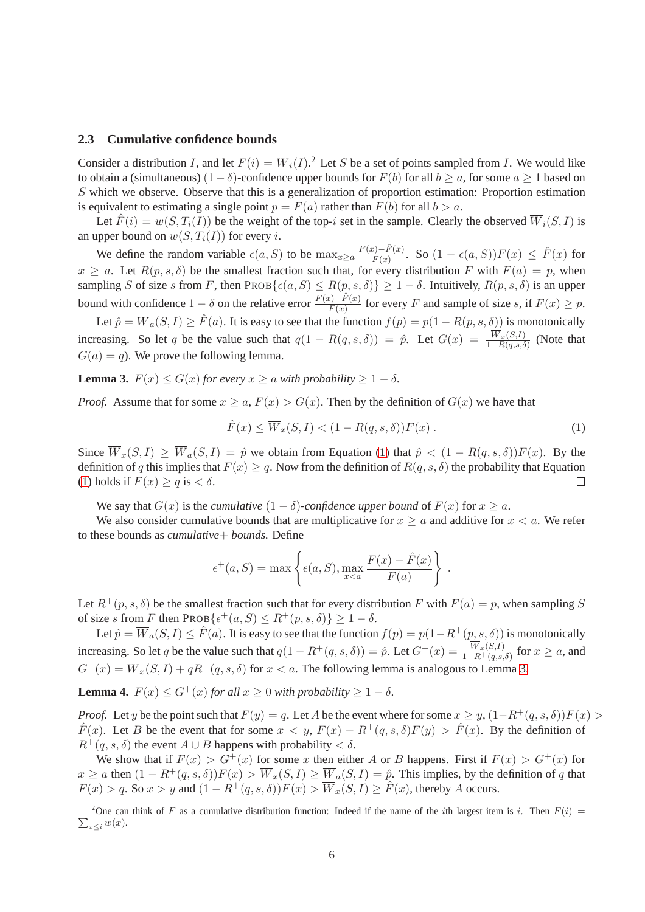### **2.3 Cumulative confidence bounds**

Consider a distribution I, and let  $F(i) = \overline{W}_i(I)$ .<sup>[2](#page-6-0)</sup> Let S be a set of points sampled from I. We would like to obtain a (simultaneous)  $(1 - \delta)$ -confidence upper bounds for  $F(b)$  for all  $b > a$ , for some  $a > 1$  based on S which we observe. Observe that this is a generalization of proportion estimation: Proportion estimation is equivalent to estimating a single point  $p = F(a)$  rather than  $F(b)$  for all  $b > a$ .

Let  $\hat{F}(i) = w(S, T_i(I))$  be the weight of the top-i set in the sample. Clearly the observed  $\overline{W}_i(S, I)$  is an upper bound on  $w(S, T_i(I))$  for every *i*.

We define the random variable  $\epsilon(a, S)$  to be  $\max_{x \geq a} \frac{F(x) - \hat{F}(x)}{F(x)}$  $\frac{\mathcal{F}(\mathcal{F})-F(x)}{F(x)}.$  So  $(1-\epsilon(a,S))F(x) \leq \hat{F}(x)$  for  $x \ge a$ . Let  $R(p, s, \delta)$  be the smallest fraction such that, for every distribution F with  $F(a) = p$ , when sampling S of size s from F, then PROB $\{\epsilon(a, S) \le R(p, s, \delta)\} \ge 1 - \delta$ . Intuitively,  $R(p, s, \delta)$  is an upper bound with confidence  $1 - \delta$  on the relative error  $\frac{F(x) - \hat{F}(x)}{F(x)}$  for every F and sample of size s, if  $F(x) \ge p$ .

Let  $\hat{p} = \overline{W}_a(S, I) \ge \hat{F}(a)$ . It is easy to see that the function  $f(p) = p(1 - R(p, s, \delta))$  is monotonically increasing. So let q be the value such that  $q(1 - R(q, s, \delta)) = \hat{p}$ . Let  $G(x) = \frac{W_x(S, I)}{1 - R(q, s, \delta)}$  (Note that  $G(a) = q$ ). We prove the following lemma.

<span id="page-6-2"></span>**Lemma 3.**  $F(x) \leq G(x)$  *for every*  $x \geq a$  *with probability*  $\geq 1 - \delta$ *.* 

<span id="page-6-1"></span>*Proof.* Assume that for some  $x \ge a$ ,  $F(x) > G(x)$ . Then by the definition of  $G(x)$  we have that

$$
\hat{F}(x) \le \overline{W}_x(S, I) < (1 - R(q, s, \delta))F(x) \tag{1}
$$

.

Since  $\overline{W}_x(S, I) \ge \overline{W}_a(S, I) = \hat{p}$  we obtain from Equation [\(1\)](#page-6-1) that  $\hat{p} < (1 - R(q, s, \delta))F(x)$ . By the definition of q this implies that  $F(x) \geq q$ . Now from the definition of  $R(q, s, \delta)$  the probability that Equation [\(1\)](#page-6-1) holds if  $F(x) \geq q$  is  $< \delta$ .  $\Box$ 

We say that  $G(x)$  is the *cumulative*  $(1 - \delta)$ -*confidence upper bound* of  $F(x)$  for  $x \ge a$ .

We also consider cumulative bounds that are multiplicative for  $x \ge a$  and additive for  $x < a$ . We refer to these bounds as *cumulative*+ *bounds.* Define

$$
\epsilon^+(a, S) = \max \left\{ \epsilon(a, S), \max_{x < a} \frac{F(x) - \hat{F}(x)}{F(a)} \right\}
$$

Let  $R^+(p, s, \delta)$  be the smallest fraction such that for every distribution F with  $F(a) = p$ , when sampling S of size s from F then  $\text{PROB}\{\epsilon^+(a, S) \le R^+(p, s, \delta)\} \ge 1 - \delta$ .

Let  $\hat{p} = \overline{W}_a(S,I) \leq \hat{F}(a)$ . It is easy to see that the function  $f(p) = p(1-R^+(p,s,\delta))$  is monotonically increasing. So let q be the value such that  $q(1 - R^+(q, s, \delta)) = \hat{p}$ . Let  $G^+(x) = \frac{W_x(S, I)}{1 - R^+(q, s, \delta)}$  for  $x \ge a$ , and  $G^+(x) = \overline{W}_x(S, I) + qR^+(q, s, \delta)$  for  $x < a$ . The following lemma is analogous to Lemma [3.](#page-6-2)

<span id="page-6-3"></span>**Lemma 4.**  $F(x) \leq G^+(x)$  *for all*  $x \geq 0$  *with probability*  $\geq 1 - \delta$ *.* 

*Proof.* Let y be the point such that  $F(y) = q$ . Let A be the event where for some  $x \geq y$ ,  $(1 - R^+(q, s, \delta))F(x)$  $\hat{F}(x)$ . Let B be the event that for some  $x < y$ ,  $F(x) - R^+(q, s, \delta)F(y) > \hat{F}(x)$ . By the definition of  $R^+(q, s, \delta)$  the event  $A \cup B$  happens with probability  $\langle \delta \rangle$ .

We show that if  $F(x) > G^{+}(x)$  for some x then either A or B happens. First if  $F(x) > G^{+}(x)$  for  $x \ge a$  then  $(1 - R^+(q, s, \delta))F(x) > \overline{W}_x(S, I) \ge \overline{W}_a(S, I) = \hat{p}$ . This implies, by the definition of q that  $F(x) > q$ . So  $x > y$  and  $(1 - R^+(q, s, \delta))F(x) > \overline{W}_x(S, I) \ge \hat{F}(x)$ , thereby A occurs.

<span id="page-6-0"></span><sup>&</sup>lt;sup>2</sup>One can think of F as a cumulative distribution function: Indeed if the name of the *i*th largest item is *i*. Then  $F(i)$  =  $\sum_{x\leq i} w(x)$ .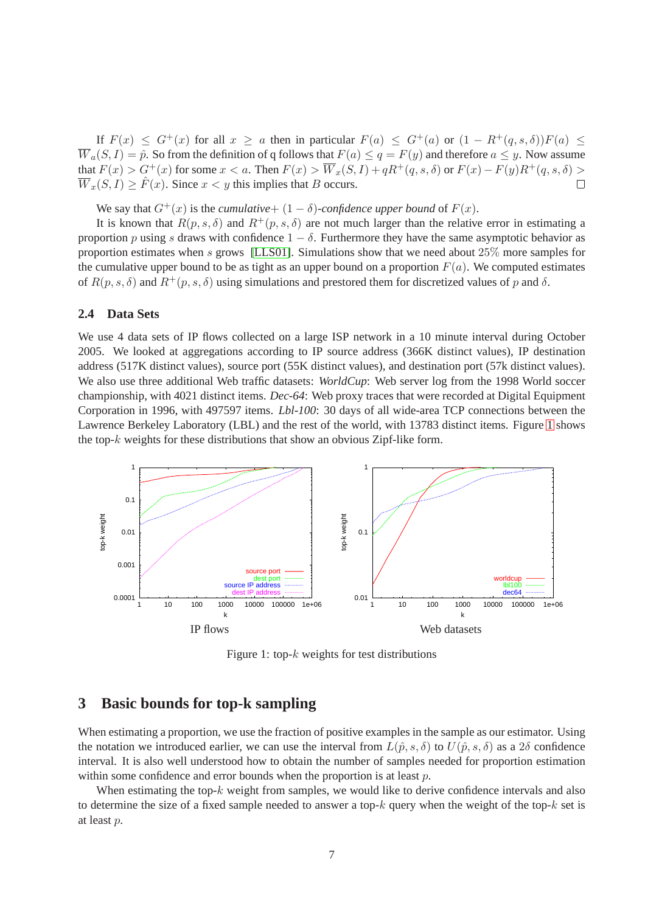If  $F(x) \leq G^+(x)$  for all  $x \geq a$  then in particular  $F(a) \leq G^+(a)$  or  $(1 - R^+(q, s, \delta))F(a) \leq$  $\overline{W}_a(S, I) = \hat{p}$ . So from the definition of q follows that  $F(a) \leq q = F(y)$  and therefore  $a \leq y$ . Now assume that  $F(x) > G^+(x)$  for some  $x < a$ . Then  $F(x) > \overline{W}_x(S, I) + qR^+(q, s, \delta)$  or  $F(x) - F(y)R^+(q, s, \delta) >$  $\overline{W}_x(S, I) \geq \hat{F}(x)$ . Since  $x \leq y$  this implies that B occurs.  $\Box$ 

We say that  $G^+(x)$  is the *cumulative* +  $(1 - \delta)$ -confidence upper bound of  $F(x)$ .

It is known that  $R(p, s, \delta)$  and  $R^+(p, s, \delta)$  are not much larger than the relative error in estimating a proportion p using s draws with confidence  $1 - \delta$ . Furthermore they have the same asymptotic behavior as proportion estimates when s grows [\[LLS01\]](#page-29-11). Simulations show that we need about 25% more samples for the cumulative upper bound to be as tight as an upper bound on a proportion  $F(a)$ . We computed estimates of  $R(p, s, \delta)$  and  $R^+(p, s, \delta)$  using simulations and prestored them for discretized values of p and  $\delta$ .

### **2.4 Data Sets**

We use 4 data sets of IP flows collected on a large ISP network in a 10 minute interval during October 2005. We looked at aggregations according to IP source address (366K distinct values), IP destination address (517K distinct values), source port (55K distinct values), and destination port (57k distinct values). We also use three additional Web traffic datasets: *WorldCup*: Web server log from the 1998 World soccer championship, with 4021 distinct items. *Dec-64*: Web proxy traces that were recorded at Digital Equipment Corporation in 1996, with 497597 items. *Lbl-100*: 30 days of all wide-area TCP connections between the Lawrence Berkeley Laboratory (LBL) and the rest of the world, with 13783 distinct items. Figure [1](#page-7-1) shows the top-k weights for these distributions that show an obvious Zipf-like form.



<span id="page-7-1"></span>Figure 1: top- $k$  weights for test distributions

### <span id="page-7-0"></span>**3 Basic bounds for top-k sampling**

When estimating a proportion, we use the fraction of positive examples in the sample as our estimator. Using the notation we introduced earlier, we can use the interval from  $L(\hat{p}, s, \delta)$  to  $U(\hat{p}, s, \delta)$  as a 2 $\delta$  confidence interval. It is also well understood how to obtain the number of samples needed for proportion estimation within some confidence and error bounds when the proportion is at least p.

When estimating the top- $k$  weight from samples, we would like to derive confidence intervals and also to determine the size of a fixed sample needed to answer a top- $k$  query when the weight of the top- $k$  set is at least p.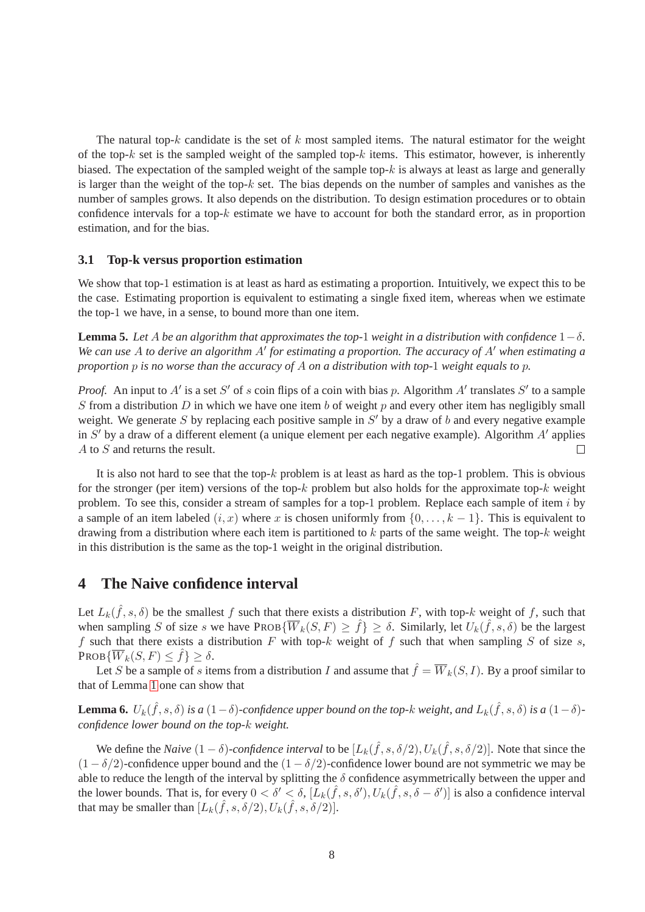The natural top-k candidate is the set of k most sampled items. The natural estimator for the weight of the top-k set is the sampled weight of the sampled top-k items. This estimator, however, is inherently biased. The expectation of the sampled weight of the sample top-k is always at least as large and generally is larger than the weight of the top-k set. The bias depends on the number of samples and vanishes as the number of samples grows. It also depends on the distribution. To design estimation procedures or to obtain confidence intervals for a top- $k$  estimate we have to account for both the standard error, as in proportion estimation, and for the bias.

### **3.1 Top-k versus proportion estimation**

We show that top-1 estimation is at least as hard as estimating a proportion. Intuitively, we expect this to be the case. Estimating proportion is equivalent to estimating a single fixed item, whereas when we estimate the top-1 we have, in a sense, to bound more than one item.

**Lemma 5.** Let A be an algorithm that approximates the top-1 weight in a distribution with confidence  $1-\delta$ . *We can use* A *to derive an algorithm* A′ *for estimating a proportion. The accuracy of* A′ *when estimating a proportion* p *is no worse than the accuracy of* A *on a distribution with top-*1 *weight equals to* p*.*

*Proof.* An input to  $A'$  is a set  $S'$  of s coin flips of a coin with bias p. Algorithm  $A'$  translates  $S'$  to a sample S from a distribution D in which we have one item b of weight p and every other item has negligibly small weight. We generate  $S$  by replacing each positive sample in  $S'$  by a draw of  $b$  and every negative example in  $S'$  by a draw of a different element (a unique element per each negative example). Algorithm  $A'$  applies A to S and returns the result. П

It is also not hard to see that the top-k problem is at least as hard as the top-1 problem. This is obvious for the stronger (per item) versions of the top-k problem but also holds for the approximate top-k weight problem. To see this, consider a stream of samples for a top-1 problem. Replace each sample of item i by a sample of an item labeled  $(i, x)$  where x is chosen uniformly from  $\{0, \ldots, k-1\}$ . This is equivalent to drawing from a distribution where each item is partitioned to k parts of the same weight. The top-k weight in this distribution is the same as the top-1 weight in the original distribution.

### **4 The Naive confidence interval**

Let  $L_k(\hat{f}, s, \delta)$  be the smallest f such that there exists a distribution F, with top-k weight of f, such that when sampling S of size s we have  $\text{PROB}\{\overline{W}_k(S, F) \geq \hat{f}\} \geq \delta$ . Similarly, let  $U_k(\hat{f}, s, \delta)$  be the largest f such that there exists a distribution F with top-k weight of f such that when sampling S of size s,  $\text{PROB}\{W_k(S, F) \leq f\} \geq \delta.$ 

<span id="page-8-0"></span>Let S be a sample of s items from a distribution I and assume that  $\hat{f} = \overline{W}_k(S, I)$ . By a proof similar to that of Lemma [1](#page-4-0) one can show that

Lemma 6.  $U_k(\hat{f},s,\delta)$  *is a*  $(1-\delta)$ -confidence upper bound on the top-k weight, and  $L_k(\hat{f},s,\delta)$  *is a*  $(1-\delta)$ *confidence lower bound on the top-*k *weight.*

We define the *Naive*  $(1 - \delta)$ -confidence interval to be  $[L_k(\hat{f}, s, \delta/2), U_k(\hat{f}, s, \delta/2)]$ . Note that since the  $(1 - \delta/2)$ -confidence upper bound and the  $(1 - \delta/2)$ -confidence lower bound are not symmetric we may be able to reduce the length of the interval by splitting the  $\delta$  confidence asymmetrically between the upper and the lower bounds. That is, for every  $0 < \delta' < \delta$ ,  $[L_k(\hat{f}, s, \delta'), U_k(\hat{f}, s, \delta - \delta')]$  is also a confidence interval that may be smaller than  $[L_k(\hat{f}, s, \delta/2), U_k(\hat{f}, s, \delta/2)].$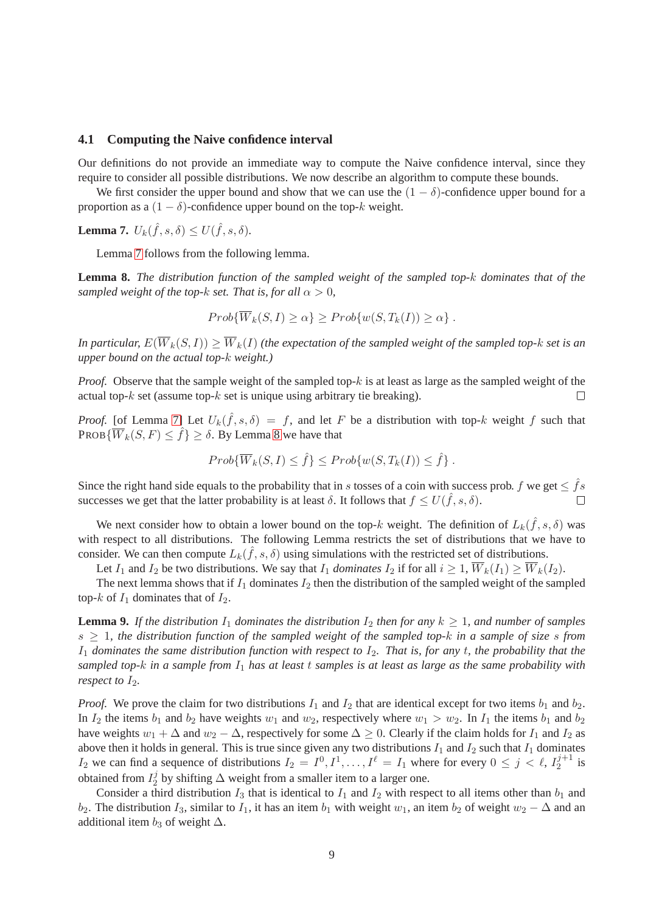#### <span id="page-9-3"></span>**4.1 Computing the Naive confidence interval**

Our definitions do not provide an immediate way to compute the Naive confidence interval, since they require to consider all possible distributions. We now describe an algorithm to compute these bounds.

<span id="page-9-0"></span>We first consider the upper bound and show that we can use the  $(1 - \delta)$ -confidence upper bound for a proportion as a  $(1 - \delta)$ -confidence upper bound on the top-k weight.

**Lemma 7.**  $U_k(\hat{f}, s, \delta) \leq U(\hat{f}, s, \delta)$ .

Lemma [7](#page-9-0) follows from the following lemma.

<span id="page-9-1"></span>**Lemma 8.** *The distribution function of the sampled weight of the sampled top-*k *dominates that of the sampled weight of the top-k set. That is, for all*  $\alpha > 0$ *,* 

$$
Prob\{\overline{W}_k(S,I) \geq \alpha\} \geq Prob\{w(S,T_k(I)) \geq \alpha\} .
$$

*In particular,*  $E(\overline{W}_k(S,I)) > \overline{W}_k(I)$  (the expectation of the sampled weight of the sampled top-k set is an *upper bound on the actual top-*k *weight.)*

*Proof.* Observe that the sample weight of the sampled top-k is at least as large as the sampled weight of the actual top- $k$  set (assume top- $k$  set is unique using arbitrary tie breaking).  $\Box$ 

*Proof.* [of Lemma [7\]](#page-9-0) Let  $U_k(\hat{f}, s, \delta) = f$ , and let F be a distribution with top-k weight f such that  $PROB{\{\overline{W}_k(S, F) \leq \hat{f}\}} \geq \delta$ . By Lemma [8](#page-9-1) we have that

$$
Prob\{\overline{W}_k(S,I) \leq \hat{f}\} \leq Prob\{w(S,T_k(I)) \leq \hat{f}\}.
$$

Since the right hand side equals to the probability that in s tosses of a coin with success prob. f we get  $\leq \hat{f}s$ successes we get that the latter probability is at least  $\delta$ . It follows that  $f \leq U(\hat{f}, s, \delta)$ .  $\Box$ 

We next consider how to obtain a lower bound on the top-k weight. The definition of  $L_k(\hat{f}, s, \delta)$  was with respect to all distributions. The following Lemma restricts the set of distributions that we have to consider. We can then compute  $L_k(\hat{f}, s, \delta)$  using simulations with the restricted set of distributions.

Let  $I_1$  and  $I_2$  be two distributions. We say that  $I_1$  *dominates*  $I_2$  if for all  $i \geq 1$ ,  $\overline{W}_k(I_1) \geq \overline{W}_k(I_2)$ .

<span id="page-9-2"></span>The next lemma shows that if  $I_1$  dominates  $I_2$  then the distribution of the sampled weight of the sampled top-k of  $I_1$  dominates that of  $I_2$ .

**Lemma 9.** If the distribution  $I_1$  dominates the distribution  $I_2$  then for any  $k \geq 1$ , and number of samples s ≥ 1*, the distribution function of the sampled weight of the sampled top-*k *in a sample of size* s *from*  $I_1$  *dominates the same distribution function with respect to*  $I_2$ *. That is, for any t, the probability that the sampled top-*k *in a sample from* I<sup>1</sup> *has at least* t *samples is at least as large as the same probability with respect to*  $I_2$ *.* 

*Proof.* We prove the claim for two distributions  $I_1$  and  $I_2$  that are identical except for two items  $b_1$  and  $b_2$ . In  $I_2$  the items  $b_1$  and  $b_2$  have weights  $w_1$  and  $w_2$ , respectively where  $w_1 > w_2$ . In  $I_1$  the items  $b_1$  and  $b_2$ have weights  $w_1 + \Delta$  and  $w_2 - \Delta$ , respectively for some  $\Delta \geq 0$ . Clearly if the claim holds for  $I_1$  and  $I_2$  as above then it holds in general. This is true since given any two distributions  $I_1$  and  $I_2$  such that  $I_1$  dominates  $I_2$  we can find a sequence of distributions  $I_2 = I^0, I^1, \ldots, I^{\ell} = I_1$  where for every  $0 \le j \le \ell, I_2^{j+1}$  $i_2^{j+1}$  is obtained from  $I_2^j$  $\frac{3}{2}$  by shifting  $\Delta$  weight from a smaller item to a larger one.

Consider a third distribution  $I_3$  that is identical to  $I_1$  and  $I_2$  with respect to all items other than  $b_1$  and b<sub>2</sub>. The distribution I<sub>3</sub>, similar to I<sub>1</sub>, it has an item b<sub>1</sub> with weight w<sub>1</sub>, an item b<sub>2</sub> of weight w<sub>2</sub> –  $\Delta$  and an additional item  $b_3$  of weight  $\Delta$ .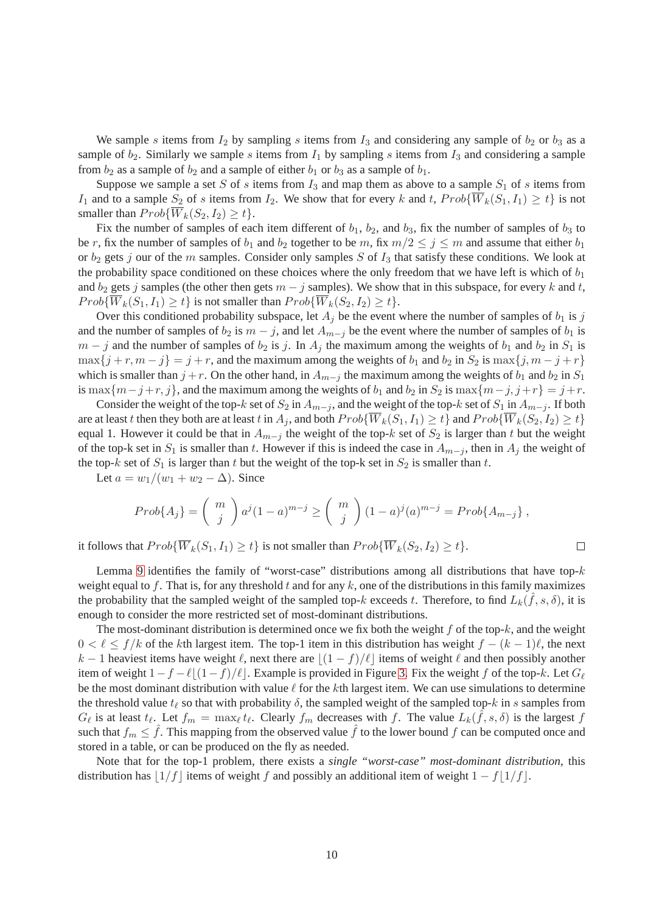We sample s items from  $I_2$  by sampling s items from  $I_3$  and considering any sample of  $b_2$  or  $b_3$  as a sample of  $b_2$ . Similarly we sample s items from  $I_1$  by sampling s items from  $I_3$  and considering a sample from  $b_2$  as a sample of  $b_2$  and a sample of either  $b_1$  or  $b_3$  as a sample of  $b_1$ .

Suppose we sample a set S of s items from  $I_3$  and map them as above to a sample  $S_1$  of s items from I<sub>1</sub> and to a sample  $S_2$  of s items from I<sub>2</sub>. We show that for every k and t,  $Prob{\overline{W}_k(S_1, I_1) \geq t}$  is not smaller than  $Prob\{\overline{W}_k(S_2, I_2) \geq t\}.$ 

Fix the number of samples of each item different of  $b_1$ ,  $b_2$ , and  $b_3$ , fix the number of samples of  $b_3$  to be r, fix the number of samples of  $b_1$  and  $b_2$  together to be m, fix  $m/2 \le j \le m$  and assume that either  $b_1$ or  $b_2$  gets j our of the m samples. Consider only samples S of  $I_3$  that satisfy these conditions. We look at the probability space conditioned on these choices where the only freedom that we have left is which of  $b_1$ and  $b_2$  gets j samples (the other then gets  $m - j$  samples). We show that in this subspace, for every k and t,  $Prob\{\overline{W}_k(S_1, I_1) \geq t\}$  is not smaller than  $Prob\{\overline{W}_k(S_2, I_2) \geq t\}$ .

Over this conditioned probability subspace, let  $A_i$  be the event where the number of samples of  $b_1$  is j and the number of samples of  $b_2$  is  $m - j$ , and let  $A_{m-j}$  be the event where the number of samples of  $b_1$  is  $m - j$  and the number of samples of  $b_2$  is j. In  $A_j$  the maximum among the weights of  $b_1$  and  $b_2$  in  $S_1$  is  $\max\{j + r, m - j\} = j + r$ , and the maximum among the weights of  $b_1$  and  $b_2$  in  $S_2$  is  $\max\{j, m - j + r\}$ which is smaller than  $j + r$ . On the other hand, in  $A_{m-j}$  the maximum among the weights of  $b_1$  and  $b_2$  in  $S_1$ is max $\{m-j+r, j\}$ , and the maximum among the weights of  $b_1$  and  $b_2$  in  $S_2$  is max $\{m-j, j+r\} = j+r$ .

Consider the weight of the top-k set of  $S_2$  in  $A_{m-j}$ , and the weight of the top-k set of  $S_1$  in  $A_{m-j}$ . If both are at least t then they both are at least t in  $A_j$ , and both  $Prob\{\overline{W}_k(S_1, I_1) \ge t\}$  and  $Prob\{\overline{W}_k(S_2, I_2) \ge t\}$ equal 1. However it could be that in  $A_{m-j}$  the weight of the top-k set of  $S_2$  is larger than t but the weight of the top-k set in  $S_1$  is smaller than t. However if this is indeed the case in  $A_{m-j}$ , then in  $A_j$  the weight of the top-k set of  $S_1$  is larger than t but the weight of the top-k set in  $S_2$  is smaller than t.

Let  $a = w_1/(w_1 + w_2 - \Delta)$ . Since

$$
Prob{A_j} = {m \choose j} a^j (1-a)^{m-j} \ge {m \choose j} (1-a)^j (a)^{m-j} = Prob{A_{m-j}},
$$

 $\Box$ 

it follows that  $Prob\{\overline{W}_k(S_1, I_1) \geq t\}$  is not smaller than  $Prob\{\overline{W}_k(S_2, I_2) \geq t\}$ .

Lemma [9](#page-9-2) identifies the family of "worst-case" distributions among all distributions that have top- $k$ weight equal to f. That is, for any threshold t and for any k, one of the distributions in this family maximizes the probability that the sampled weight of the sampled top-k exceeds t. Therefore, to find  $L_k(\hat{f}, s, \delta)$ , it is enough to consider the more restricted set of most-dominant distributions.

The most-dominant distribution is determined once we fix both the weight  $f$  of the top- $k$ , and the weight  $0 < \ell \le f/k$  of the kth largest item. The top-1 item in this distribution has weight  $f - (k-1)\ell$ , the next k − 1 heaviest items have weight  $\ell$ , next there are  $|(1 - f)/\ell|$  items of weight  $\ell$  and then possibly another item of weight  $1-f - \ell | (1-f)/\ell |$ . Example is provided in Figure [3.](#page-14-0) Fix the weight f of the top-k. Let  $G_{\ell}$ be the most dominant distribution with value  $\ell$  for the kth largest item. We can use simulations to determine the threshold value  $t_{\ell}$  so that with probability  $\delta$ , the sampled weight of the sampled top-k in s samples from  $G_{\ell}$  is at least  $t_{\ell}$ . Let  $f_m = \max_{\ell} t_{\ell}$ . Clearly  $f_m$  decreases with f. The value  $L_k(\tilde{f}, s, \delta)$  is the largest f such that  $f_m \leq \hat{f}$ . This mapping from the observed value  $\hat{f}$  to the lower bound f can be computed once and stored in a table, or can be produced on the fly as needed.

Note that for the top-1 problem, there exists a *single "worst-case" most-dominant distribution*, this distribution has  $|1/f|$  items of weight f and possibly an additional item of weight  $1 - f|1/f|$ .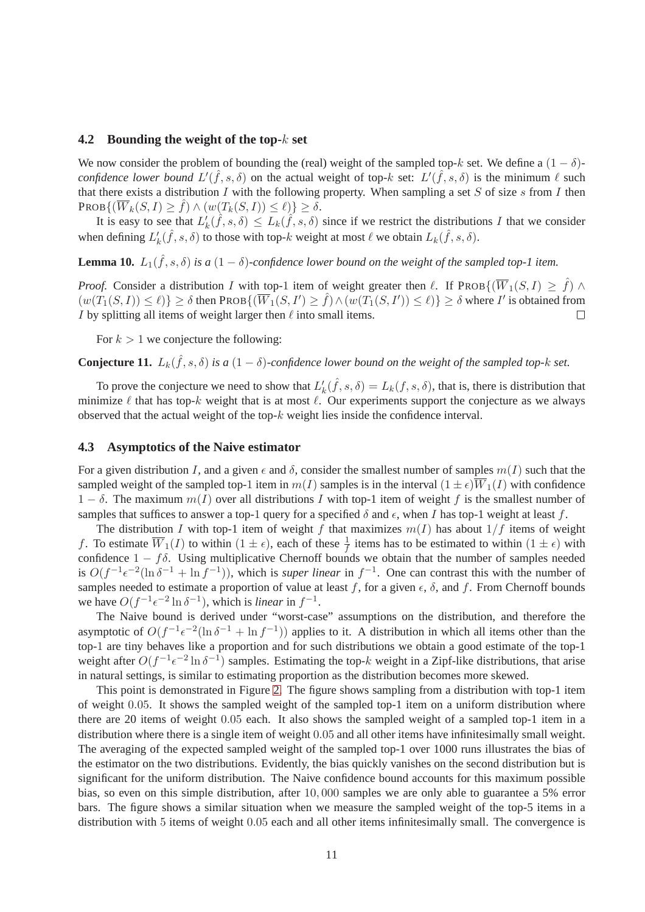### **4.2 Bounding the weight of the top-**k **set**

We now consider the problem of bounding the (real) weight of the sampled top-k set. We define a  $(1 - \delta)$ *confidence lower bound*  $L'(\hat{f}, s, \delta)$  on the actual weight of top-k set:  $L'(\hat{f}, s, \delta)$  is the minimum  $\ell$  such that there exists a distribution  $I$  with the following property. When sampling a set  $S$  of size  $s$  from  $I$  then  $\text{PROB}\{(\overline{W}_k(S, I) \geq \hat{f}) \wedge (w(T_k(S, I)) \leq \ell)\} \geq \delta.$ 

<span id="page-11-0"></span>It is easy to see that  $L'_k(\hat{f}, s, \delta) \le L_k(\hat{f}, s, \delta)$  since if we restrict the distributions I that we consider when defining  $L'_k(\hat{f}, s, \delta)$  to those with top-k weight at most  $\ell$  we obtain  $L_k(\hat{f}, s, \delta)$ .

**Lemma 10.**  $L_1(\hat{f}, s, \delta)$  *is a*  $(1 - \delta)$ -confidence lower bound on the weight of the sampled top-1 item.

*Proof.* Consider a distribution I with top-1 item of weight greater then  $\ell$ . If PROB $\{(\overline{W}_1(S, I) > \hat{f}) \wedge \ell\}$  $(w(T_1(S, I)) \le \ell) \ge \delta$  then PROB $\{(\overline{W}_1(S, I') \ge \hat{f}) \wedge (w(T_1(S, I')) \le \ell)\} \ge \delta$  where I' is obtained from I by splitting all items of weight larger then  $\ell$  into small items.  $\Box$ 

For  $k > 1$  we conjecture the following:

<span id="page-11-1"></span>**Conjecture 11.**  $L_k(\hat{f}, s, \delta)$  *is a*  $(1 - \delta)$ -confidence lower bound on the weight of the sampled top-k set.

To prove the conjecture we need to show that  $L'_{k}(\hat{f}, s, \delta) = L_{k}(f, s, \delta)$ , that is, there is distribution that minimize  $\ell$  that has top-k weight that is at most  $\ell$ . Our experiments support the conjecture as we always observed that the actual weight of the top-k weight lies inside the confidence interval.

### **4.3 Asymptotics of the Naive estimator**

For a given distribution I, and a given  $\epsilon$  and  $\delta$ , consider the smallest number of samples  $m(I)$  such that the sampled weight of the sampled top-1 item in  $m(I)$  samples is in the interval  $(1 \pm \epsilon)\overline{W}_1(I)$  with confidence  $1 - \delta$ . The maximum  $m(I)$  over all distributions I with top-1 item of weight f is the smallest number of samples that suffices to answer a top-1 query for a specified  $\delta$  and  $\epsilon$ , when I has top-1 weight at least f.

The distribution I with top-1 item of weight f that maximizes  $m(I)$  has about  $1/f$  items of weight f. To estimate  $\overline{W}_1(I)$  to within  $(1 \pm \epsilon)$ , each of these  $\frac{1}{f}$  items has to be estimated to within  $(1 \pm \epsilon)$  with confidence  $1 - f\delta$ . Using multiplicative Chernoff bounds we obtain that the number of samples needed is  $O(f^{-1}e^{-2}(\ln \delta^{-1} + \ln f^{-1}))$ , which is *super linear* in  $f^{-1}$ . One can contrast this with the number of samples needed to estimate a proportion of value at least f, for a given  $\epsilon$ ,  $\delta$ , and f. From Chernoff bounds we have  $O(f^{-1} \epsilon^{-2} \ln \delta^{-1})$ , which is *linear* in  $f^{-1}$ .

The Naive bound is derived under "worst-case" assumptions on the distribution, and therefore the asymptotic of  $O(f^{-1} \epsilon^{-2} (\ln \delta^{-1} + \ln f^{-1}))$  applies to it. A distribution in which all items other than the top-1 are tiny behaves like a proportion and for such distributions we obtain a good estimate of the top-1 weight after  $O(f^{-1} \epsilon^{-2} \ln \delta^{-1})$  samples. Estimating the top-k weight in a Zipf-like distributions, that arise in natural settings, is similar to estimating proportion as the distribution becomes more skewed.

This point is demonstrated in Figure [2.](#page-12-0) The figure shows sampling from a distribution with top-1 item of weight 0.05. It shows the sampled weight of the sampled top-1 item on a uniform distribution where there are 20 items of weight 0.05 each. It also shows the sampled weight of a sampled top-1 item in a distribution where there is a single item of weight 0.05 and all other items have infinitesimally small weight. The averaging of the expected sampled weight of the sampled top-1 over 1000 runs illustrates the bias of the estimator on the two distributions. Evidently, the bias quickly vanishes on the second distribution but is significant for the uniform distribution. The Naive confidence bound accounts for this maximum possible bias, so even on this simple distribution, after 10, 000 samples we are only able to guarantee a 5% error bars. The figure shows a similar situation when we measure the sampled weight of the top-5 items in a distribution with 5 items of weight 0.05 each and all other items infinitesimally small. The convergence is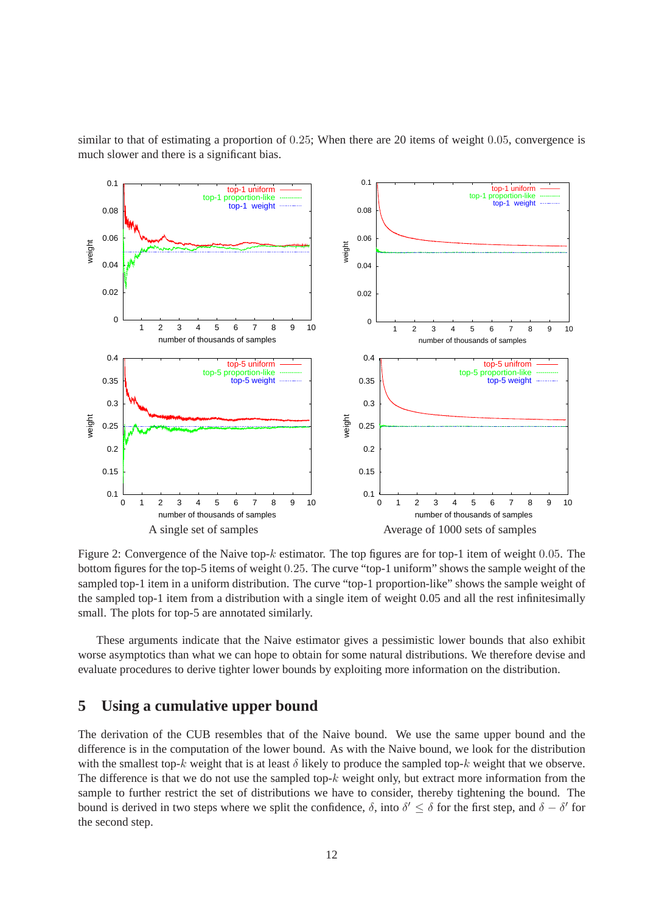similar to that of estimating a proportion of 0.25; When there are 20 items of weight 0.05, convergence is much slower and there is a significant bias.



<span id="page-12-0"></span>Figure 2: Convergence of the Naive top-k estimator. The top figures are for top-1 item of weight 0.05. The bottom figures for the top-5 items of weight 0.25. The curve "top-1 uniform" shows the sample weight of the sampled top-1 item in a uniform distribution. The curve "top-1 proportion-like" shows the sample weight of the sampled top-1 item from a distribution with a single item of weight 0.05 and all the rest infinitesimally small. The plots for top-5 are annotated similarly.

These arguments indicate that the Naive estimator gives a pessimistic lower bounds that also exhibit worse asymptotics than what we can hope to obtain for some natural distributions. We therefore devise and evaluate procedures to derive tighter lower bounds by exploiting more information on the distribution.

# **5 Using a cumulative upper bound**

The derivation of the CUB resembles that of the Naive bound. We use the same upper bound and the difference is in the computation of the lower bound. As with the Naive bound, we look for the distribution with the smallest top-k weight that is at least  $\delta$  likely to produce the sampled top-k weight that we observe. The difference is that we do not use the sampled top- $k$  weight only, but extract more information from the sample to further restrict the set of distributions we have to consider, thereby tightening the bound. The bound is derived in two steps where we split the confidence,  $\delta$ , into  $\delta' \leq \delta$  for the first step, and  $\delta - \delta'$  for the second step.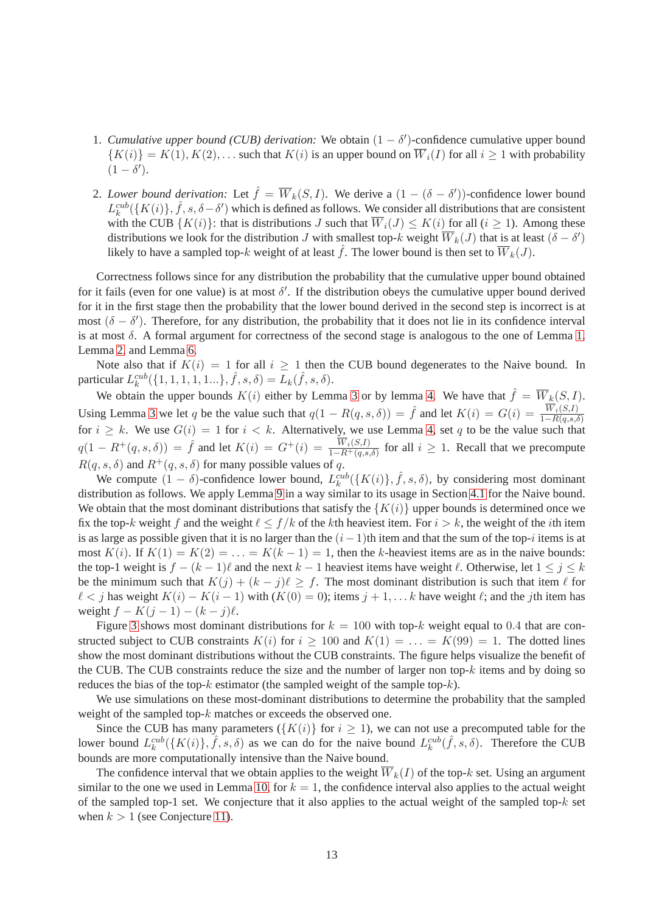- 1. *Cumulative upper bound (CUB) derivation*: We obtain  $(1 \delta')$ -confidence cumulative upper bound  ${K(i)} = K(1), K(2), \ldots$  such that  $K(i)$  is an upper bound on  $\overline{W}_i(I)$  for all  $i \ge 1$  with probability  $(1 - \delta').$
- 2. *Lower bound derivation:* Let  $\hat{f} = \overline{W}_k(S, I)$ . We derive a  $(1 (\delta \delta'))$ -confidence lower bound  $L_k^{cub}(\lbrace K(i) \rbrace, \hat{f}, s, \delta - \delta')$  which is defined as follows. We consider all distributions that are consistent with the CUB  $\{K(i)\}$ : that is distributions J such that  $\overline{W}_i(J) \leq K(i)$  for all  $(i \geq 1)$ . Among these distributions we look for the distribution J with smallest top-k weight  $\overline{W}_k(J)$  that is at least  $(\delta - \delta')$ likely to have a sampled top-k weight of at least  $\hat{f}$ . The lower bound is then set to  $\overline{W}_k(J)$ .

Correctness follows since for any distribution the probability that the cumulative upper bound obtained for it fails (even for one value) is at most  $\delta'$ . If the distribution obeys the cumulative upper bound derived for it in the first stage then the probability that the lower bound derived in the second step is incorrect is at most  $(\delta - \delta')$ . Therefore, for any distribution, the probability that it does not lie in its confidence interval is at most  $\delta$ . A formal argument for correctness of the second stage is analogous to the one of Lemma [1,](#page-4-0) Lemma [2,](#page-5-1) and Lemma [6.](#page-8-0)

Note also that if  $K(i) = 1$  for all  $i \geq 1$  then the CUB bound degenerates to the Naive bound. In particular  $L_k^{cub}({1,1,1,1,1...}, \hat{f}, s, \delta) = L_k(\hat{f}, s, \delta).$ 

We obtain the upper bounds  $K(i)$  either by Lemma [3](#page-6-2) or by lemma [4.](#page-6-3) We have that  $\hat{f} = \overline{W}_k(S, I)$ . Using Lemma [3](#page-6-2) we let q be the value such that  $q(1 - R(q, s, \delta)) = \hat{f}$  and let  $K(i) = G(i) = \frac{W_i(S, I)}{1 - R(q, s, \delta)}$ for  $i \geq k$ . We use  $G(i) = 1$  for  $i < k$ . Alternatively, we use Lemma [4,](#page-6-3) set q to be the value such that  $q(1 - R^+(q, s, \delta)) = \hat{f}$  and let  $K(i) = G^+(i) = \frac{W_i(S, I)}{1 - R^+(q, s, \delta)}$  for all  $i \ge 1$ . Recall that we precompute  $R(q, s, \delta)$  and  $R^+(q, s, \delta)$  for many possible values of q.

We compute  $(1 - \delta)$ -confidence lower bound,  $L_k^{cub}(\lbrace K(i) \rbrace, \hat{f}, s, \delta)$ , by considering most dominant distribution as follows. We apply Lemma [9](#page-9-2) in a way similar to its usage in Section [4.1](#page-9-3) for the Naive bound. We obtain that the most dominant distributions that satisfy the  ${K(i)}$  upper bounds is determined once we fix the top-k weight f and the weight  $\ell \le f/k$  of the kth heaviest item. For  $i > k$ , the weight of the *i*th item is as large as possible given that it is no larger than the  $(i-1)$ th item and that the sum of the top-i items is at most  $K(i)$ . If  $K(1) = K(2) = \ldots = K(k-1) = 1$ , then the k-heaviest items are as in the naive bounds: the top-1 weight is  $f - (k-1)\ell$  and the next  $k-1$  heaviest items have weight  $\ell$ . Otherwise, let  $1 \le j \le k$ be the minimum such that  $K(j) + (k - j)\ell \geq f$ . The most dominant distribution is such that item  $\ell$  for  $\ell < j$  has weight  $K(i) - K(i - 1)$  with  $(K(0) = 0)$ ; items  $j + 1, \ldots k$  have weight  $\ell$ ; and the jth item has weight  $f - K(j - 1) - (k - j)\ell$ .

Figure [3](#page-14-0) shows most dominant distributions for  $k = 100$  with top-k weight equal to 0.4 that are constructed subject to CUB constraints  $K(i)$  for  $i \ge 100$  and  $K(1) = \ldots = K(99) = 1$ . The dotted lines show the most dominant distributions without the CUB constraints. The figure helps visualize the benefit of the CUB. The CUB constraints reduce the size and the number of larger non top- $k$  items and by doing so reduces the bias of the top- $k$  estimator (the sampled weight of the sample top- $k$ ).

We use simulations on these most-dominant distributions to determine the probability that the sampled weight of the sampled top-k matches or exceeds the observed one.

Since the CUB has many parameters ( $\{K(i)\}\$  for  $i \geq 1$ ), we can not use a precomputed table for the lower bound  $L_k^{cub}(\lbrace K(i) \rbrace, \hat{f}, s, \delta)$  as we can do for the naive bound  $L_k^{cub}(\hat{f}, s, \delta)$ . Therefore the CUB bounds are more computationally intensive than the Naive bound.

The confidence interval that we obtain applies to the weight  $\overline{W}_k(I)$  of the top-k set. Using an argument similar to the one we used in Lemma [10,](#page-11-0) for  $k = 1$ , the confidence interval also applies to the actual weight of the sampled top-1 set. We conjecture that it also applies to the actual weight of the sampled top- $k$  set when  $k > 1$  (see Conjecture [11\)](#page-11-1).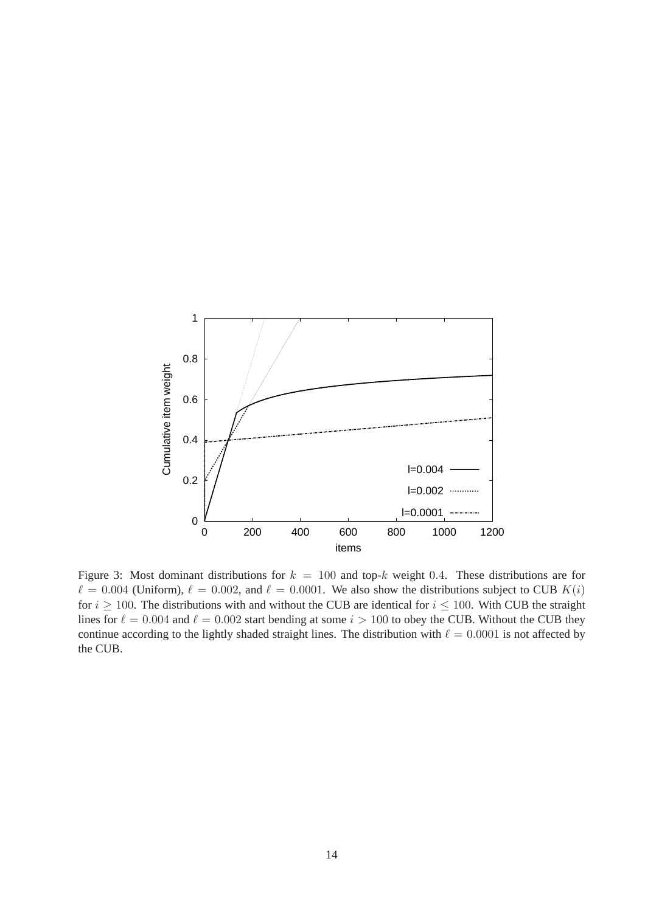

<span id="page-14-0"></span>Figure 3: Most dominant distributions for  $k = 100$  and top-k weight 0.4. These distributions are for  $\ell = 0.004$  (Uniform),  $\ell = 0.002$ , and  $\ell = 0.0001$ . We also show the distributions subject to CUB  $K(i)$ for  $i \ge 100$ . The distributions with and without the CUB are identical for  $i \le 100$ . With CUB the straight lines for  $\ell = 0.004$  and  $\ell = 0.002$  start bending at some  $i > 100$  to obey the CUB. Without the CUB they continue according to the lightly shaded straight lines. The distribution with  $\ell = 0.0001$  is not affected by the CUB.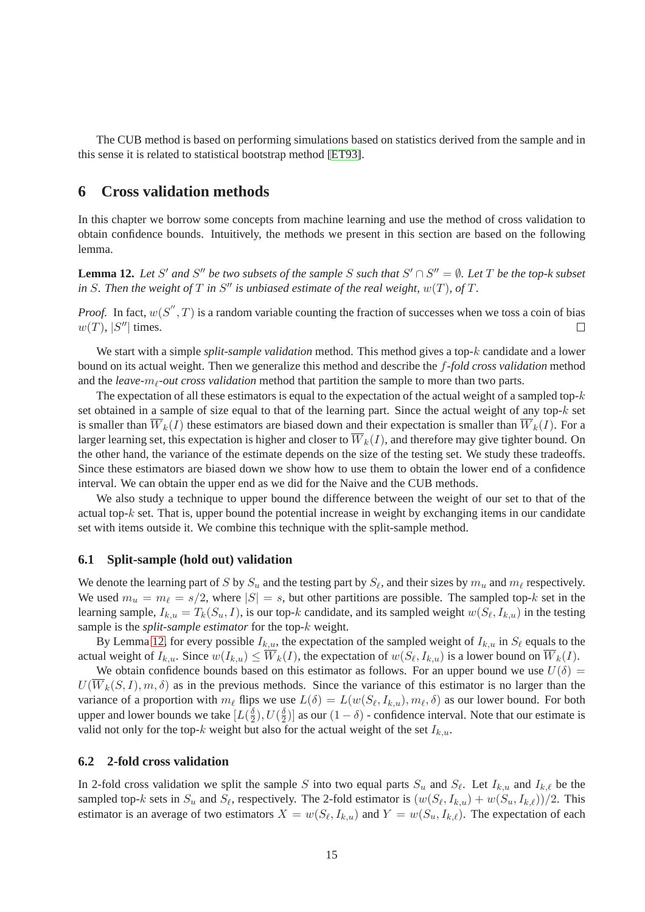The CUB method is based on performing simulations based on statistics derived from the sample and in this sense it is related to statistical bootstrap method [\[ET93\]](#page-29-12).

### **6 Cross validation methods**

<span id="page-15-0"></span>In this chapter we borrow some concepts from machine learning and use the method of cross validation to obtain confidence bounds. Intuitively, the methods we present in this section are based on the following lemma.

**Lemma 12.** Let S' and S'' be two subsets of the sample S such that  $S' \cap S'' = \emptyset$ . Let T be the top-k subset *in* S. Then the weight of T in S<sup> $''$ </sup> is unbiased estimate of the real weight,  $w(T)$ , of T.

*Proof.* In fact,  $w(S'', T)$  is a random variable counting the fraction of successes when we toss a coin of bias  $w(T)$ , |S''| times.  $\Box$ 

We start with a simple *split-sample validation* method. This method gives a top-k candidate and a lower bound on its actual weight. Then we generalize this method and describe the f*-fold cross validation* method and the *leave-*mℓ*-out cross validation* method that partition the sample to more than two parts.

The expectation of all these estimators is equal to the expectation of the actual weight of a sampled top- $k$ set obtained in a sample of size equal to that of the learning part. Since the actual weight of any top- $k$  set is smaller than  $\overline{W}_k(I)$  these estimators are biased down and their expectation is smaller than  $\overline{W}_k(I)$ . For a larger learning set, this expectation is higher and closer to  $\overline{W}_k(I)$ , and therefore may give tighter bound. On the other hand, the variance of the estimate depends on the size of the testing set. We study these tradeoffs. Since these estimators are biased down we show how to use them to obtain the lower end of a confidence interval. We can obtain the upper end as we did for the Naive and the CUB methods.

We also study a technique to upper bound the difference between the weight of our set to that of the actual top- $k$  set. That is, upper bound the potential increase in weight by exchanging items in our candidate set with items outside it. We combine this technique with the split-sample method.

### **6.1 Split-sample (hold out) validation**

We denote the learning part of S by  $S_u$  and the testing part by  $S_\ell$ , and their sizes by  $m_u$  and  $m_\ell$  respectively. We used  $m_u = m_\ell = s/2$ , where  $|S| = s$ , but other partitions are possible. The sampled top-k set in the learning sample,  $I_{k,u} = T_k(S_u, I)$ , is our top-k candidate, and its sampled weight  $w(S_\ell, I_{k,u})$  in the testing sample is the *split-sample estimator* for the top-k weight.

By Lemma [12,](#page-15-0) for every possible  $I_{k,u}$ , the expectation of the sampled weight of  $I_{k,u}$  in  $S_{\ell}$  equals to the actual weight of  $I_{k,u}$ . Since  $w(I_{k,u}) \leq W_k(I)$ , the expectation of  $w(S_\ell, I_{k,u})$  is a lower bound on  $W_k(I)$ .

We obtain confidence bounds based on this estimator as follows. For an upper bound we use  $U(\delta)$  =  $U(\overline{W}_k(S, I), m, \delta)$  as in the previous methods. Since the variance of this estimator is no larger than the variance of a proportion with  $m_\ell$  flips we use  $L(\delta) = L(w(S_\ell, I_{k,u}), m_\ell, \delta)$  as our lower bound. For both upper and lower bounds we take  $[L(\frac{\delta}{2})]$  $\frac{\delta}{2}), U(\frac{\delta}{2}$  $\frac{\delta}{2}$ ] as our  $(1 - \delta)$  - confidence interval. Note that our estimate is valid not only for the top-k weight but also for the actual weight of the set  $I_{k,u}$ .

### <span id="page-15-1"></span>**6.2 2-fold cross validation**

In 2-fold cross validation we split the sample S into two equal parts  $S_u$  and  $S_{\ell}$ . Let  $I_{k,u}$  and  $I_{k,\ell}$  be the sampled top-k sets in  $S_u$  and  $S_\ell$ , respectively. The 2-fold estimator is  $(w(S_\ell, I_{k,u}) + w(S_u, I_{k,\ell})) / 2$ . This estimator is an average of two estimators  $X = w(S_{\ell}, I_{k,u})$  and  $Y = w(S_u, I_{k,\ell})$ . The expectation of each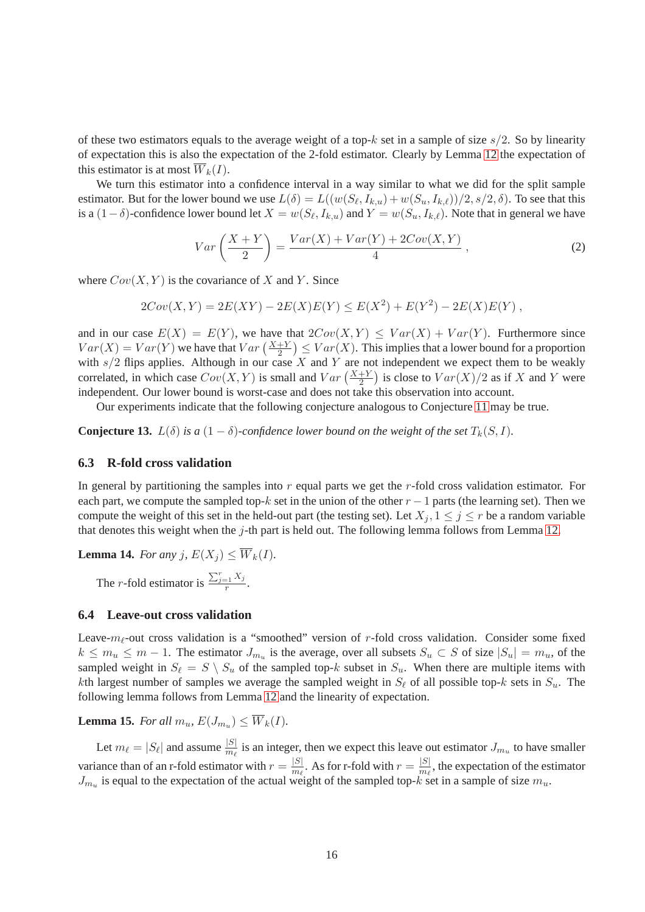of these two estimators equals to the average weight of a top-k set in a sample of size  $s/2$ . So by linearity of expectation this is also the expectation of the 2-fold estimator. Clearly by Lemma [12](#page-15-0) the expectation of this estimator is at most  $\overline{W}_k(I)$ .

We turn this estimator into a confidence interval in a way similar to what we did for the split sample estimator. But for the lower bound we use  $L(\delta) = L((w(S_\ell, I_{k,u}) + w(S_u, I_{k,\ell}))/2, s/2, \delta)$ . To see that this is a  $(1-\delta)$ -confidence lower bound let  $X = w(S_\ell, I_{k,u})$  and  $Y = w(S_u, I_{k,\ell})$ . Note that in general we have

$$
Var\left(\frac{X+Y}{2}\right) = \frac{Var(X) + Var(Y) + 2Cov(X,Y)}{4},\tag{2}
$$

where  $Cov(X, Y)$  is the covariance of X and Y. Since

$$
2Cov(X,Y) = 2E(XY) - 2E(X)E(Y) \le E(X^2) + E(Y^2) - 2E(X)E(Y),
$$

and in our case  $E(X) = E(Y)$ , we have that  $2Cov(X, Y) \leq Var(X) + Var(Y)$ . Furthermore since  $Var(X) = Var(Y)$  we have that  $Var\left(\frac{X+Y}{2}\right) \leq Var(X)$ . This implies that a lower bound for a proportion with  $s/2$  flips applies. Although in our case X and Y are not independent we expect them to be weakly correlated, in which case  $Cov(X, Y)$  is small and  $Var\left(\frac{X+Y}{2}\right)$  is close to  $Var(X)/2$  as if X and Y were independent. Our lower bound is worst-case and does not take this observation into account.

Our experiments indicate that the following conjecture analogous to Conjecture [11](#page-11-1) may be true.

<span id="page-16-0"></span>**Conjecture 13.**  $L(\delta)$  *is a*  $(1 - \delta)$ *-confidence lower bound on the weight of the set*  $T_k(S, I)$ *.* 

### **6.3 R-fold cross validation**

In general by partitioning the samples into r equal parts we get the r-fold cross validation estimator. For each part, we compute the sampled top-k set in the union of the other  $r - 1$  parts (the learning set). Then we compute the weight of this set in the held-out part (the testing set). Let  $X_i, 1 \leq j \leq r$  be a random variable that denotes this weight when the  $j$ -th part is held out. The following lemma follows from Lemma [12.](#page-15-0)

**Lemma 14.** *For any j*,  $E(X_i) \leq \overline{W}_k(I)$ *.* 

The *r*-fold estimator is  $\frac{\sum_{j=1}^{r} X_j}{r}$  $\frac{1}{r}$ .

### **6.4 Leave-out cross validation**

Leave- $m_\ell$ -out cross validation is a "smoothed" version of r-fold cross validation. Consider some fixed  $k \leq m_u \leq m-1$ . The estimator  $J_{m_u}$  is the average, over all subsets  $S_u \subset S$  of size  $|S_u| = m_u$ , of the sampled weight in  $S_{\ell} = S \setminus S_u$  of the sampled top-k subset in  $S_u$ . When there are multiple items with kth largest number of samples we average the sampled weight in  $S_{\ell}$  of all possible top-k sets in  $S_u$ . The following lemma follows from Lemma [12](#page-15-0) and the linearity of expectation.

**Lemma 15.** *For all*  $m_u$ ,  $E(J_{m_u}) \leq W_k(I)$ .

Let  $m_\ell = |S_\ell|$  and assume  $\frac{|S|}{m_\ell}$  is an integer, then we expect this leave out estimator  $J_{m_u}$  to have smaller variance than of an r-fold estimator with  $r = \frac{|S|}{m_e}$  $\frac{|S|}{m_{\ell}}$ . As for r-fold with  $r = \frac{|S|}{m_{\ell}}$  $\frac{S}{m_{\ell}}$ , the expectation of the estimator  $J_{m_u}$  is equal to the expectation of the actual weight of the sampled top-k set in a sample of size  $m_u$ .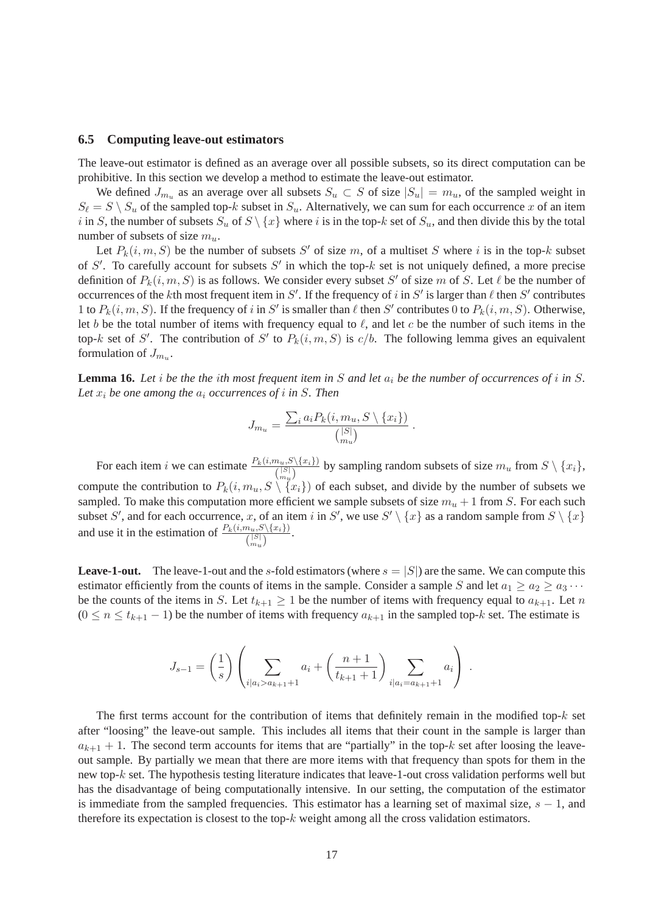### **6.5 Computing leave-out estimators**

The leave-out estimator is defined as an average over all possible subsets, so its direct computation can be prohibitive. In this section we develop a method to estimate the leave-out estimator.

We defined  $J_{m_u}$  as an average over all subsets  $S_u \subset S$  of size  $|S_u| = m_u$ , of the sampled weight in  $S_{\ell} = S \setminus S_u$  of the sampled top-k subset in  $S_u$ . Alternatively, we can sum for each occurrence x of an item i in S, the number of subsets  $S_u$  of  $S \setminus \{x\}$  where i is in the top-k set of  $S_u$ , and then divide this by the total number of subsets of size  $m_u$ .

Let  $P_k(i, m, S)$  be the number of subsets S' of size m, of a multiset S where i is in the top-k subset of  $S'$ . To carefully account for subsets  $S'$  in which the top-k set is not uniquely defined, a more precise definition of  $P_k(i, m, S)$  is as follows. We consider every subset S' of size m of S. Let  $\ell$  be the number of occurrences of the kth most frequent item in S'. If the frequency of i in S' is larger than  $\ell$  then S' contributes 1 to  $P_k(i, m, S)$ . If the frequency of i in S' is smaller than  $\ell$  then S' contributes 0 to  $P_k(i, m, S)$ . Otherwise, let b be the total number of items with frequency equal to  $\ell$ , and let c be the number of such items in the top-k set of S'. The contribution of S' to  $P_k(i, m, S)$  is  $c/b$ . The following lemma gives an equivalent formulation of  $J_{m_u}$ .

**Lemma 16.** Let *i* be the the *i*th most frequent item in S and let  $a_i$  be the number of occurrences of *i* in S. Let  $x_i$  be one among the  $a_i$  occurrences of *i* in S. Then

$$
J_{m_u} = \frac{\sum_i a_i P_k(i, m_u, S \setminus \{x_i\})}{\binom{|S|}{m_u}}.
$$

For each item i we can estimate  $\frac{P_k(i, m_u, S \setminus \{x_i\})}{\binom{|S|}{m_u}}$  by sampling random subsets of size  $m_u$  from  $S \setminus \{x_i\}$ , compute the contribution to  $P_k(i, m_u, S \setminus \{x_i\})$  of each subset, and divide by the number of subsets we sampled. To make this computation more efficient we sample subsets of size  $m<sub>u</sub> + 1$  from S. For each such subset S', and for each occurrence, x, of an item i in S', we use  $S' \setminus \{x\}$  as a random sample from  $S \setminus \{x\}$ and use it in the estimation of  $\frac{P_k(i, m_u, S \setminus \{x_i\})}{\binom{|S|}{m_u}}$ .

**Leave-1-out.** The leave-1-out and the s-fold estimators (where  $s = |S|$ ) are the same. We can compute this estimator efficiently from the counts of items in the sample. Consider a sample S and let  $a_1 \ge a_2 \ge a_3 \cdots$ be the counts of the items in S. Let  $t_{k+1} \geq 1$  be the number of items with frequency equal to  $a_{k+1}$ . Let n  $(0 \le n \le t_{k+1} - 1)$  be the number of items with frequency  $a_{k+1}$  in the sampled top-k set. The estimate is

$$
J_{s-1} = \left(\frac{1}{s}\right) \left( \sum_{i|a_i > a_{k+1}+1} a_i + \left(\frac{n+1}{t_{k+1}+1}\right) \sum_{i|a_i = a_{k+1}+1} a_i \right).
$$

The first terms account for the contribution of items that definitely remain in the modified top- $k$  set after "loosing" the leave-out sample. This includes all items that their count in the sample is larger than  $a_{k+1}$  + 1. The second term accounts for items that are "partially" in the top-k set after loosing the leaveout sample. By partially we mean that there are more items with that frequency than spots for them in the new top-k set. The hypothesis testing literature indicates that leave-1-out cross validation performs well but has the disadvantage of being computationally intensive. In our setting, the computation of the estimator is immediate from the sampled frequencies. This estimator has a learning set of maximal size,  $s - 1$ , and therefore its expectation is closest to the top- $k$  weight among all the cross validation estimators.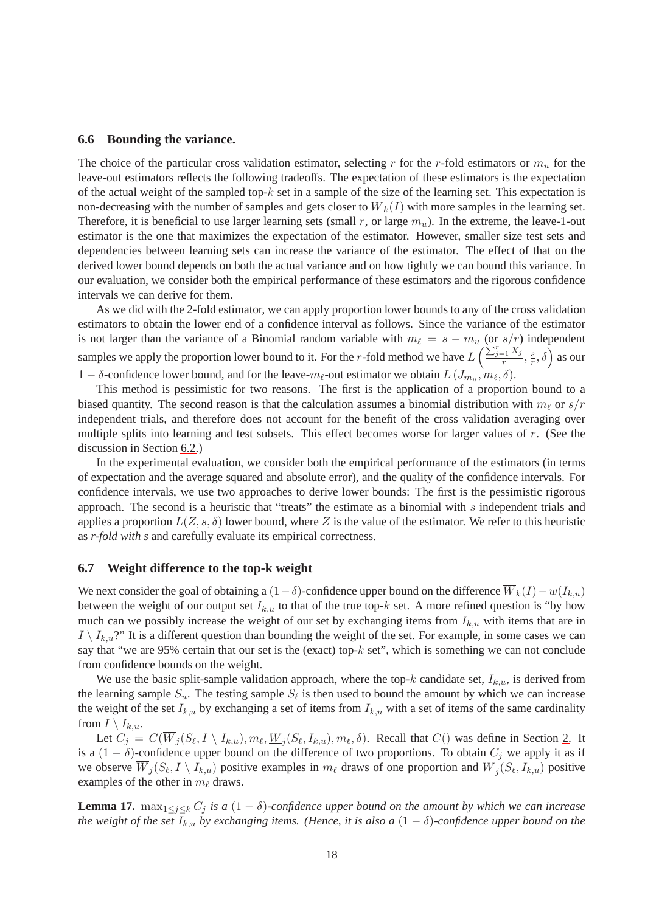### **6.6 Bounding the variance.**

The choice of the particular cross validation estimator, selecting r for the r-fold estimators or  $m_u$  for the leave-out estimators reflects the following tradeoffs. The expectation of these estimators is the expectation of the actual weight of the sampled top- $k$  set in a sample of the size of the learning set. This expectation is non-decreasing with the number of samples and gets closer to  $\overline{W}_k(I)$  with more samples in the learning set. Therefore, it is beneficial to use larger learning sets (small r, or large  $m_u$ ). In the extreme, the leave-1-out estimator is the one that maximizes the expectation of the estimator. However, smaller size test sets and dependencies between learning sets can increase the variance of the estimator. The effect of that on the derived lower bound depends on both the actual variance and on how tightly we can bound this variance. In our evaluation, we consider both the empirical performance of these estimators and the rigorous confidence intervals we can derive for them.

As we did with the 2-fold estimator, we can apply proportion lower bounds to any of the cross validation estimators to obtain the lower end of a confidence interval as follows. Since the variance of the estimator is not larger than the variance of a Binomial random variable with  $m_\ell = s - m_u$  (or  $s/r$ ) independent samples we apply the proportion lower bound to it. For the r-fold method we have  $L\left(\frac{\sum_{j=1}^{r} X_j}{r}\right)$  $\frac{1}{r}^{\frac{\Lambda_j}{r}}, \frac{s}{r}$  $\left(\frac{s}{r},\delta\right)$  as our 1 – δ-confidence lower bound, and for the leave- $m_{\ell}$ -out estimator we obtain  $L(J_{m_u}, m_{\ell}, \delta)$ .

This method is pessimistic for two reasons. The first is the application of a proportion bound to a biased quantity. The second reason is that the calculation assumes a binomial distribution with  $m_\ell$  or  $s/r$ independent trials, and therefore does not account for the benefit of the cross validation averaging over multiple splits into learning and test subsets. This effect becomes worse for larger values of  $r$ . (See the discussion in Section [6.2.](#page-15-1))

In the experimental evaluation, we consider both the empirical performance of the estimators (in terms of expectation and the average squared and absolute error), and the quality of the confidence intervals. For confidence intervals, we use two approaches to derive lower bounds: The first is the pessimistic rigorous approach. The second is a heuristic that "treats" the estimate as a binomial with  $s$  independent trials and applies a proportion  $L(Z, s, \delta)$  lower bound, where Z is the value of the estimator. We refer to this heuristic as *r-fold with s* and carefully evaluate its empirical correctness.

#### <span id="page-18-0"></span>**6.7 Weight difference to the top-k weight**

We next consider the goal of obtaining a  $(1-\delta)$ -confidence upper bound on the difference  $\overline{W}_k(I)-w(I_{k,u})$ between the weight of our output set  $I_{k,u}$  to that of the true top-k set. A more refined question is "by how much can we possibly increase the weight of our set by exchanging items from  $I_{k,u}$  with items that are in  $I \setminus I_{k,u}$ ?" It is a different question than bounding the weight of the set. For example, in some cases we can say that "we are 95% certain that our set is the (exact) top- $k$  set", which is something we can not conclude from confidence bounds on the weight.

We use the basic split-sample validation approach, where the top- $k$  candidate set,  $I_{k,u}$ , is derived from the learning sample  $S_u$ . The testing sample  $S_{\ell}$  is then used to bound the amount by which we can increase the weight of the set  $I_{k,u}$  by exchanging a set of items from  $I_{k,u}$  with a set of items of the same cardinality from  $I \setminus I_{k,u}$ .

Let  $C_j = C(W_j(S_\ell, I \setminus I_{k,u}), m_\ell, \underline{W}_j(S_\ell, I_{k,u}), m_\ell, \delta)$ . Recall that  $C()$  was define in Section [2.](#page-3-0) It is a  $(1 - \delta)$ -confidence upper bound on the difference of two proportions. To obtain  $C_j$  we apply it as if we observe  $W_j(S_\ell, I \setminus I_{k,u})$  positive examples in  $m_\ell$  draws of one proportion and  $\underline{W}_j(S_\ell, I_{k,u})$  positive examples of the other in  $m_\ell$  draws.

**Lemma 17.**  $\max_{1 \leq j \leq k} C_j$  *is a*  $(1 - \delta)$ -confidence upper bound on the amount by which we can increase *the weight of the set*  $I_{k,u}$  *by exchanging items. (Hence, it is also a*  $(1 - \delta)$ *-confidence upper bound on the*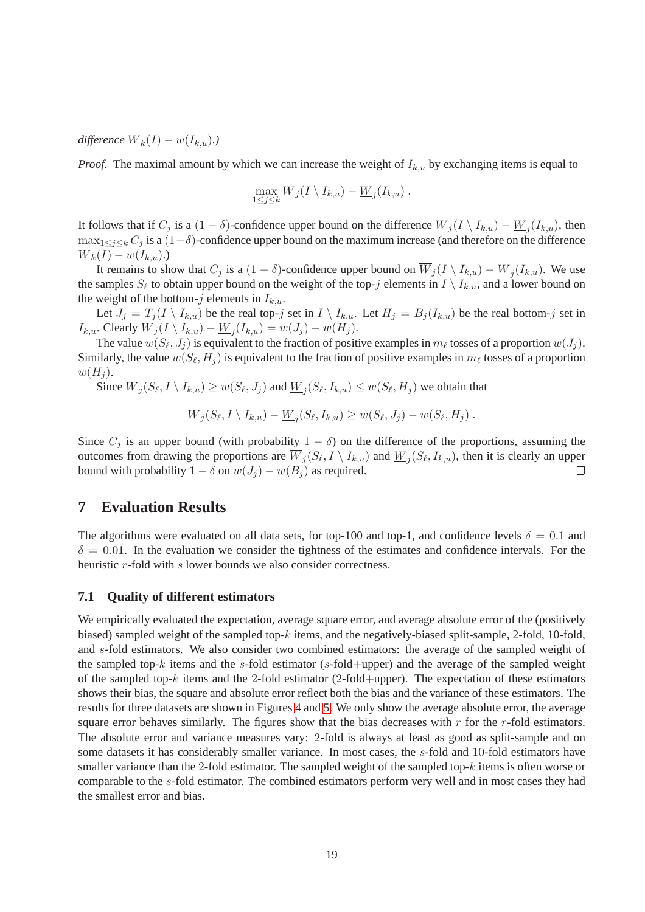$difference \overline{W}_k(I) - w(I_{k,u}).$ 

*Proof.* The maximal amount by which we can increase the weight of  $I_{k,u}$  by exchanging items is equal to

$$
\max_{1 \leq j \leq k} \overline{W}_j(I \setminus I_{k,u}) - \underline{W}_j(I_{k,u}).
$$

It follows that if  $C_j$  is a  $(1 - \delta)$ -confidence upper bound on the difference  $W_j(I \setminus I_{k,u}) - \underline{W}_j(I_{k,u})$ , then  $\max_{1 \leq j \leq k} C_j$  is a  $(1-\delta)$ -confidence upper bound on the maximum increase (and therefore on the difference  $\overline{W}_k(I) - w(I_{k,u}).$ 

It remains to show that  $C_j$  is a  $(1 - \delta)$ -confidence upper bound on  $W_j(I \setminus I_{k,u}) - \underline{W}_j(I_{k,u})$ . We use the samples  $S_{\ell}$  to obtain upper bound on the weight of the top-j elements in  $I \setminus I_{k,u}$ , and a lower bound on the weight of the bottom-j elements in  $I_{k,u}$ .

Let  $J_j = T_j (I \setminus I_{k,u})$  be the real top-j set in  $I \setminus I_{k,u}$ . Let  $H_j = B_j (I_{k,u})$  be the real bottom-j set in  $I_{k,u}$ . Clearly  $W_j(I \setminus I_{k,u}) - \underline{W}_j(I_{k,u}) = w(J_j) - w(H_j)$ .

The value  $w(S_\ell,J_j)$  is equivalent to the fraction of positive examples in  $m_\ell$  tosses of a proportion  $w(J_j).$ Similarly, the value  $w(S_\ell, H_j)$  is equivalent to the fraction of positive examples in  $m_\ell$  tosses of a proportion  $w(H_i)$ .

Since  $W_j(S_\ell, I \setminus I_{k,u}) \ge w(S_\ell, J_j)$  and  $\underline{W}_j(S_\ell, I_{k,u}) \le w(S_\ell, H_j)$  we obtain that

$$
\overline{W}_j(S_\ell, I \setminus I_{k,u}) - \underline{W}_j(S_\ell, I_{k,u}) \geq w(S_\ell, J_j) - w(S_\ell, H_j) .
$$

Since  $C_j$  is an upper bound (with probability  $1 - \delta$ ) on the difference of the proportions, assuming the outcomes from drawing the proportions are  $W_j(S_\ell, I \setminus I_{k,u})$  and  $\underline{W}_j(S_\ell, I_{k,u})$ , then it is clearly an upper bound with probability  $1 - \delta$  on  $w(J_i) - w(B_i)$  as required.  $\Box$ 

### <span id="page-19-0"></span>**7 Evaluation Results**

The algorithms were evaluated on all data sets, for top-100 and top-1, and confidence levels  $\delta = 0.1$  and  $\delta = 0.01$ . In the evaluation we consider the tightness of the estimates and confidence intervals. For the heuristic r-fold with s lower bounds we also consider correctness.

### **7.1 Quality of different estimators**

We empirically evaluated the expectation, average square error, and average absolute error of the (positively biased) sampled weight of the sampled top-k items, and the negatively-biased split-sample, 2-fold, 10-fold, and s-fold estimators. We also consider two combined estimators: the average of the sampled weight of the sampled top- $k$  items and the s-fold estimator (s-fold+upper) and the average of the sampled weight of the sampled top- $k$  items and the 2-fold estimator (2-fold+upper). The expectation of these estimators shows their bias, the square and absolute error reflect both the bias and the variance of these estimators. The results for three datasets are shown in Figures [4](#page-20-0) and [5.](#page-21-0) We only show the average absolute error, the average square error behaves similarly. The figures show that the bias decreases with  $r$  for the  $r$ -fold estimators. The absolute error and variance measures vary: 2-fold is always at least as good as split-sample and on some datasets it has considerably smaller variance. In most cases, the s-fold and 10-fold estimators have smaller variance than the 2-fold estimator. The sampled weight of the sampled top-k items is often worse or comparable to the s-fold estimator. The combined estimators perform very well and in most cases they had the smallest error and bias.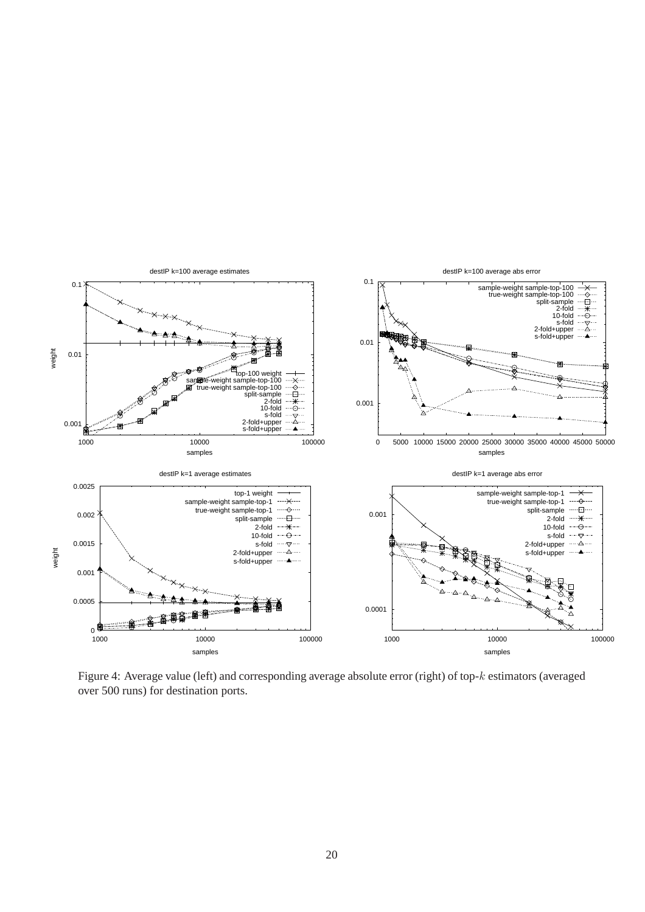

<span id="page-20-0"></span>Figure 4: Average value (left) and corresponding average absolute error (right) of top-k estimators (averaged over 500 runs) for destination ports.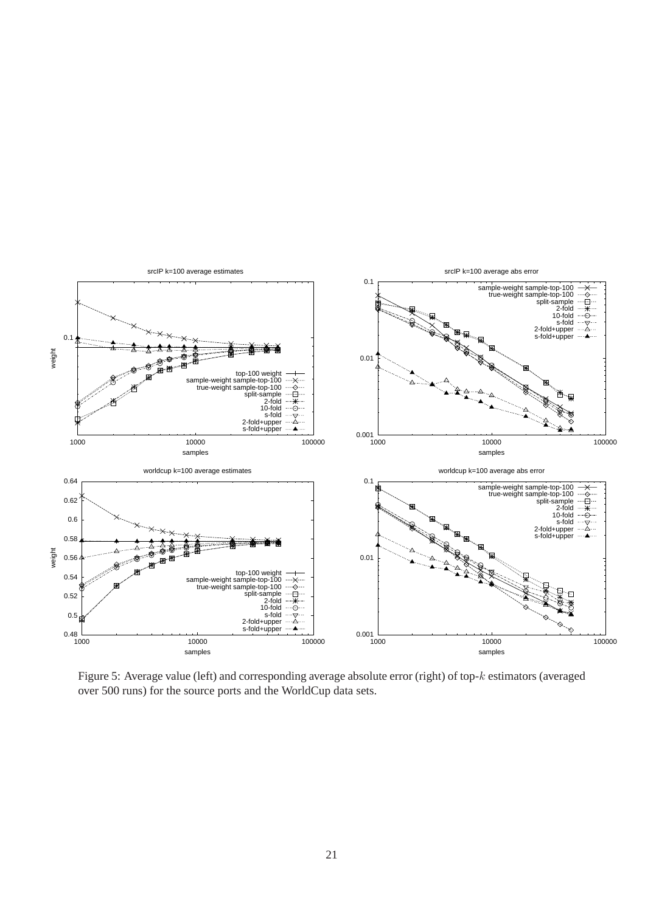

<span id="page-21-0"></span>Figure 5: Average value (left) and corresponding average absolute error (right) of top-k estimators (averaged over 500 runs) for the source ports and the WorldCup data sets.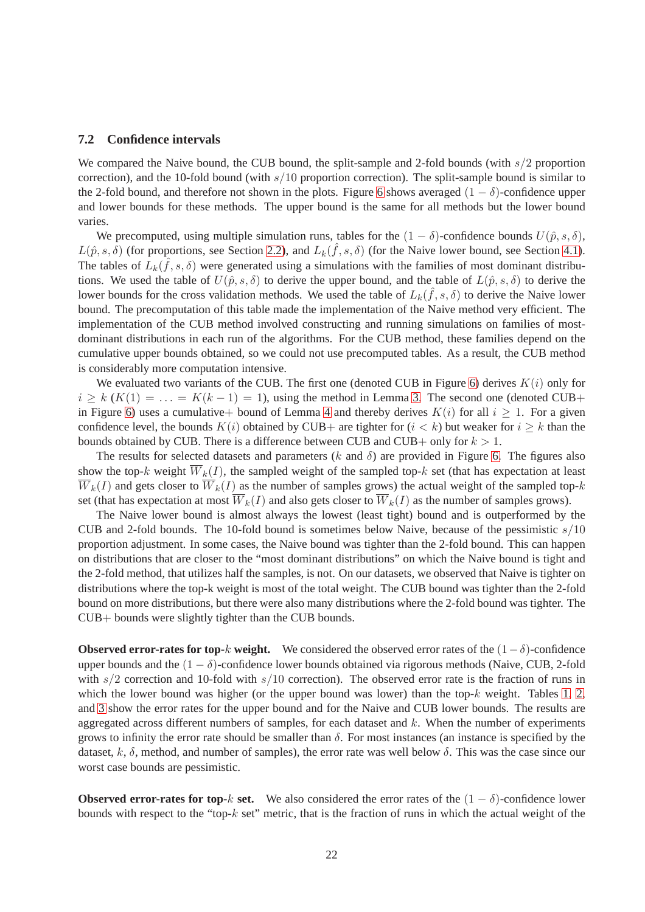### **7.2 Confidence intervals**

We compared the Naive bound, the CUB bound, the split-sample and 2-fold bounds (with  $s/2$  proportion correction), and the 10-fold bound (with  $s/10$  proportion correction). The split-sample bound is similar to the 2-fold bound, and therefore not shown in the plots. Figure [6](#page-23-0) shows averaged  $(1 - \delta)$ -confidence upper and lower bounds for these methods. The upper bound is the same for all methods but the lower bound varies.

We precomputed, using multiple simulation runs, tables for the  $(1 - \delta)$ -confidence bounds  $U(\hat{p}, s, \delta)$ ,  $L(\hat{p}, s, \delta)$  (for proportions, see Section [2.2\)](#page-4-1), and  $L_k(\hat{f}, s, \delta)$  (for the Naive lower bound, see Section [4.1\)](#page-9-3). The tables of  $L_k(\hat{f}, s, \delta)$  were generated using a simulations with the families of most dominant distributions. We used the table of  $U(\hat{p}, s, \delta)$  to derive the upper bound, and the table of  $L(\hat{p}, s, \delta)$  to derive the lower bounds for the cross validation methods. We used the table of  $L_k(\hat{f}, s, \delta)$  to derive the Naive lower bound. The precomputation of this table made the implementation of the Naive method very efficient. The implementation of the CUB method involved constructing and running simulations on families of mostdominant distributions in each run of the algorithms. For the CUB method, these families depend on the cumulative upper bounds obtained, so we could not use precomputed tables. As a result, the CUB method is considerably more computation intensive.

We evaluated two variants of the CUB. The first one (denoted CUB in Figure [6\)](#page-23-0) derives  $K(i)$  only for  $i \geq k$  (K(1) = ... = K(k - 1) = 1), using the method in Lemma [3.](#page-6-2) The second one (denoted CUB+ in Figure [6\)](#page-23-0) uses a cumulative+ bound of Lemma [4](#page-6-3) and thereby derives  $K(i)$  for all  $i > 1$ . For a given confidence level, the bounds K(i) obtained by CUB+ are tighter for  $(i < k)$  but weaker for  $i \geq k$  than the bounds obtained by CUB. There is a difference between CUB and CUB+ only for  $k > 1$ .

The results for selected datasets and parameters (k and  $\delta$ ) are provided in Figure [6.](#page-23-0) The figures also show the top-k weight  $\overline{W}_k(I)$ , the sampled weight of the sampled top-k set (that has expectation at least  $\overline{W}_k(I)$  and gets closer to  $\overline{W}_k(I)$  as the number of samples grows) the actual weight of the sampled top-k set (that has expectation at most  $\overline{W}_k(I)$  and also gets closer to  $\overline{W}_k(I)$  as the number of samples grows).

The Naive lower bound is almost always the lowest (least tight) bound and is outperformed by the CUB and 2-fold bounds. The 10-fold bound is sometimes below Naive, because of the pessimistic  $s/10$ proportion adjustment. In some cases, the Naive bound was tighter than the 2-fold bound. This can happen on distributions that are closer to the "most dominant distributions" on which the Naive bound is tight and the 2-fold method, that utilizes half the samples, is not. On our datasets, we observed that Naive is tighter on distributions where the top-k weight is most of the total weight. The CUB bound was tighter than the 2-fold bound on more distributions, but there were also many distributions where the 2-fold bound was tighter. The CUB+ bounds were slightly tighter than the CUB bounds.

**Observed error-rates for top-**k **weight.** We considered the observed error rates of the  $(1 - \delta)$ -confidence upper bounds and the  $(1 - \delta)$ -confidence lower bounds obtained via rigorous methods (Naive, CUB, 2-fold with  $s/2$  correction and 10-fold with  $s/10$  correction). The observed error rate is the fraction of runs in which the lower bound was higher (or the upper bound was lower) than the top- $k$  weight. Tables [1,](#page-24-0) [2,](#page-24-1) and [3](#page-25-0) show the error rates for the upper bound and for the Naive and CUB lower bounds. The results are aggregated across different numbers of samples, for each dataset and  $k$ . When the number of experiments grows to infinity the error rate should be smaller than  $\delta$ . For most instances (an instance is specified by the dataset, k,  $\delta$ , method, and number of samples), the error rate was well below  $\delta$ . This was the case since our worst case bounds are pessimistic.

**Observed error-rates for top-** $k$  **set.** We also considered the error rates of the  $(1 - \delta)$ -confidence lower bounds with respect to the "top- $k$  set" metric, that is the fraction of runs in which the actual weight of the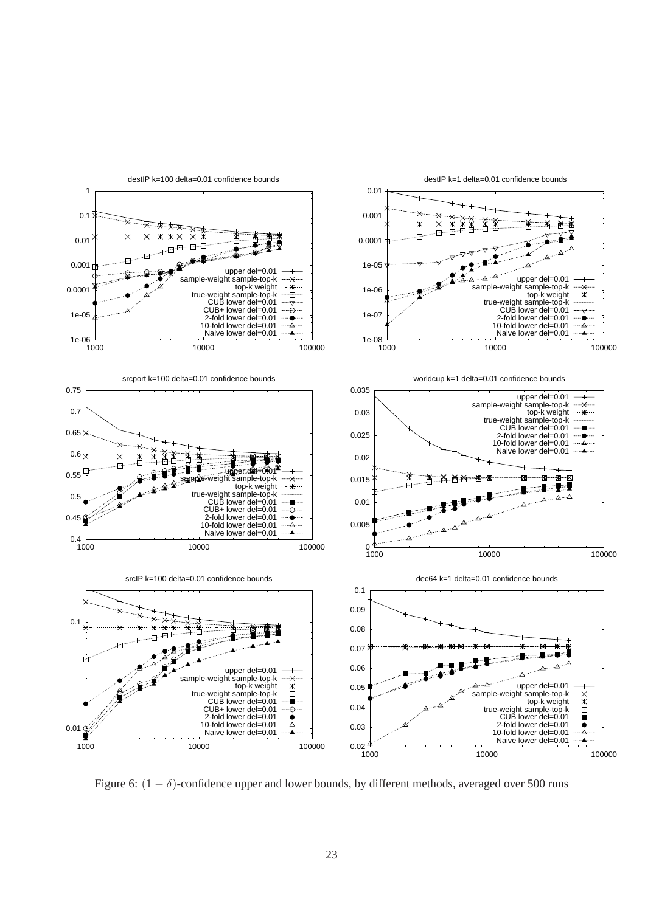

<span id="page-23-0"></span>Figure 6:  $(1 - \delta)$ -confidence upper and lower bounds, by different methods, averaged over 500 runs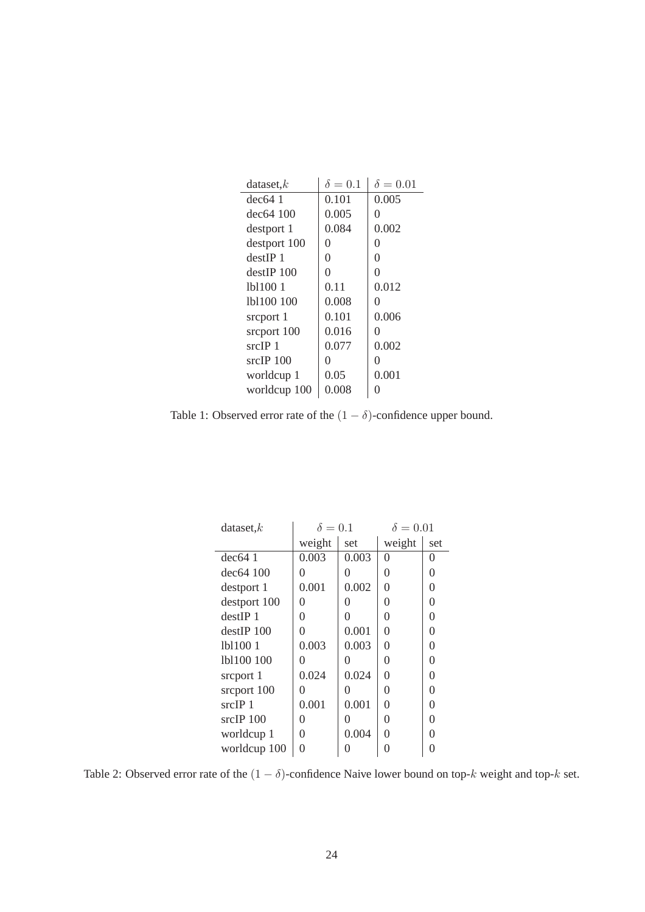| dataset, $k$         | $\delta = 0.1$    | $\delta = 0.01$   |
|----------------------|-------------------|-------------------|
| dec641               | 0.101             | 0.005             |
| dec64100             | 0.005             |                   |
| destport 1           | 0.084             | 0.002             |
| destport 100         | $\mathbf{\Omega}$ | $\mathbf{0}$      |
| destIP 1             | 0                 | 0                 |
| destIP 100           | 0                 | 0                 |
| lb <sub>1100</sub> 1 | 0.11              | 0.012             |
| lb1100 100           | 0.008             | $\mathbf{\Omega}$ |
| sreport 1            | 0.101             | 0.006             |
| sreport 100          | 0.016             | $\mathbf{\Omega}$ |
| srcIP 1              | 0.077             | 0.002             |
| srcIP 100            | $\mathbf{\Omega}$ |                   |
| worldcup 1           | 0.05              | 0.001             |
| worldcup 100         | 0.008             |                   |

<span id="page-24-0"></span>Table 1: Observed error rate of the  $(1 - \delta)$ -confidence upper bound.

| dataset, $k$        | $\delta = 0.1$ |       | $\delta = 0.01$ |          |
|---------------------|----------------|-------|-----------------|----------|
|                     | weight         | set   | weight          | set      |
| dec641              | 0.003          | 0.003 | $\theta$        | 0        |
| $dec64$ 100         | 0              | 0     | 0               | 0        |
| destport 1          | 0.001          | 0.002 | $\Omega$        | 0        |
| destport 100        | 0              | 0     | 0               | 0        |
| destIP <sub>1</sub> | 0              | 0     | 0               | 0        |
| destIP 100          | 0              | 0.001 | $\Omega$        | 0        |
| 1 <sub>b11001</sub> | 0.003          | 0.003 | $\theta$        | 0        |
| lb1100 100          | 0              | 0     | $\theta$        | $\theta$ |
| sreport 1           | 0.024          | 0.024 | $\Omega$        | $\theta$ |
| sreport 100         | 0              | 0     | 0               | 0        |
| srcIP1              | 0.001          | 0.001 | $\Omega$        | $\theta$ |
| srcIP 100           | 0              | 0     | 0               | 0        |
| worldcup 1          | 0              | 0.004 | $\Omega$        | 0        |
| worldcup 100        | 0              |       |                 |          |

<span id="page-24-1"></span>Table 2: Observed error rate of the  $(1 - \delta)$ -confidence Naive lower bound on top-k weight and top-k set.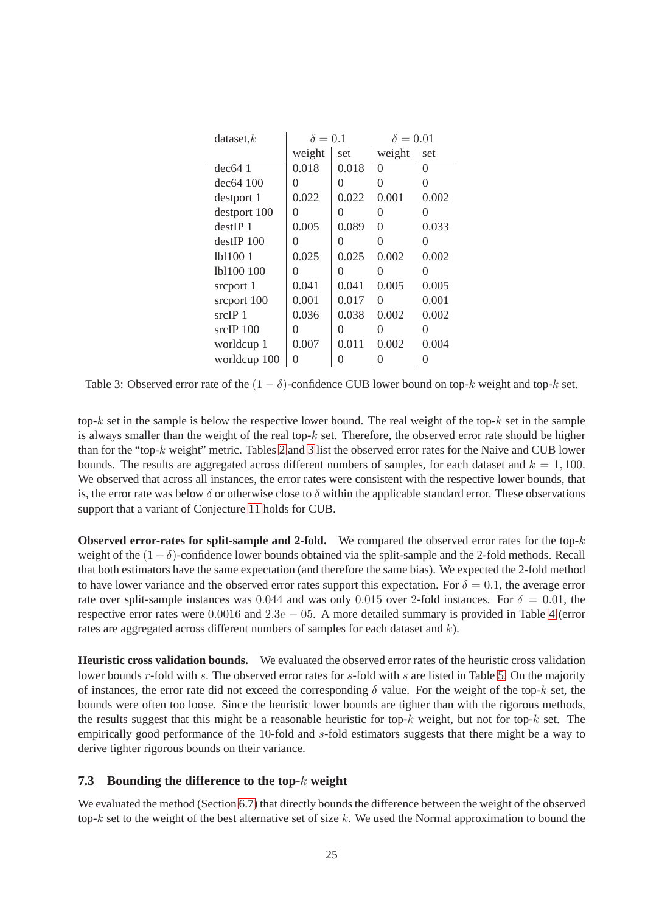| dataset, $k$        | $\delta = 0.1$ |                   | $\delta = 0.01$ |       |
|---------------------|----------------|-------------------|-----------------|-------|
|                     | weight         | set               | weight          | set   |
| dec641              | 0.018          | 0.018             | $\Omega$        | 0     |
| dec64100            | 0              | $\mathbf{\Omega}$ | 0               | 0     |
| destport 1          | 0.022          | 0.022             | 0.001           | 0.002 |
| destport 100        | $\theta$       | $\mathbf{\Omega}$ | 0               | 0     |
| destIP <sub>1</sub> | 0.005          | 0.089             | $\Omega$        | 0.033 |
| destIP 100          | 0              | 0                 | 0               | 0     |
| 1b11001             | 0.025          | 0.025             | 0.002           | 0.002 |
| lb1100 100          | 0              | 0                 | 0               | 0     |
| sreport 1           | 0.041          | 0.041             | 0.005           | 0.005 |
| sreport 100         | 0.001          | 0.017             | $\Omega$        | 0.001 |
| srcIP1              | 0.036          | 0.038             | 0.002           | 0.002 |
| srcIP $100$         | 0              | $\Omega$          | $\mathbf{0}$    | 0     |
| worldcup 1          | 0.007          | 0.011             | 0.002           | 0.004 |
| worldcup 100        | 0              |                   |                 |       |

<span id="page-25-0"></span>Table 3: Observed error rate of the  $(1 - \delta)$ -confidence CUB lower bound on top-k weight and top-k set.

top- $k$  set in the sample is below the respective lower bound. The real weight of the top- $k$  set in the sample is always smaller than the weight of the real top- $k$  set. Therefore, the observed error rate should be higher than for the "top-k weight" metric. Tables [2](#page-24-1) and [3](#page-25-0) list the observed error rates for the Naive and CUB lower bounds. The results are aggregated across different numbers of samples, for each dataset and  $k = 1,100$ . We observed that across all instances, the error rates were consistent with the respective lower bounds, that is, the error rate was below  $\delta$  or otherwise close to  $\delta$  within the applicable standard error. These observations support that a variant of Conjecture [11](#page-11-1) holds for CUB.

**Observed error-rates for split-sample and 2-fold.** We compared the observed error rates for the top- $k$ weight of the  $(1 - \delta)$ -confidence lower bounds obtained via the split-sample and the 2-fold methods. Recall that both estimators have the same expectation (and therefore the same bias). We expected the 2-fold method to have lower variance and the observed error rates support this expectation. For  $\delta = 0.1$ , the average error rate over split-sample instances was 0.044 and was only 0.015 over 2-fold instances. For  $\delta = 0.01$ , the respective error rates were  $0.0016$  and  $2.3e - 05$ . A more detailed summary is provided in Table [4](#page-26-0) (error rates are aggregated across different numbers of samples for each dataset and k).

**Heuristic cross validation bounds.** We evaluated the observed error rates of the heuristic cross validation lower bounds r-fold with s. The observed error rates for s-fold with s are listed in Table [5.](#page-26-1) On the majority of instances, the error rate did not exceed the corresponding  $\delta$  value. For the weight of the top-k set, the bounds were often too loose. Since the heuristic lower bounds are tighter than with the rigorous methods, the results suggest that this might be a reasonable heuristic for top- $k$  weight, but not for top- $k$  set. The empirically good performance of the 10-fold and s-fold estimators suggests that there might be a way to derive tighter rigorous bounds on their variance.

### <span id="page-25-1"></span>**7.3 Bounding the difference to the top-**k **weight**

We evaluated the method (Section [6.7\)](#page-18-0) that directly bounds the difference between the weight of the observed top- $k$  set to the weight of the best alternative set of size  $k$ . We used the Normal approximation to bound the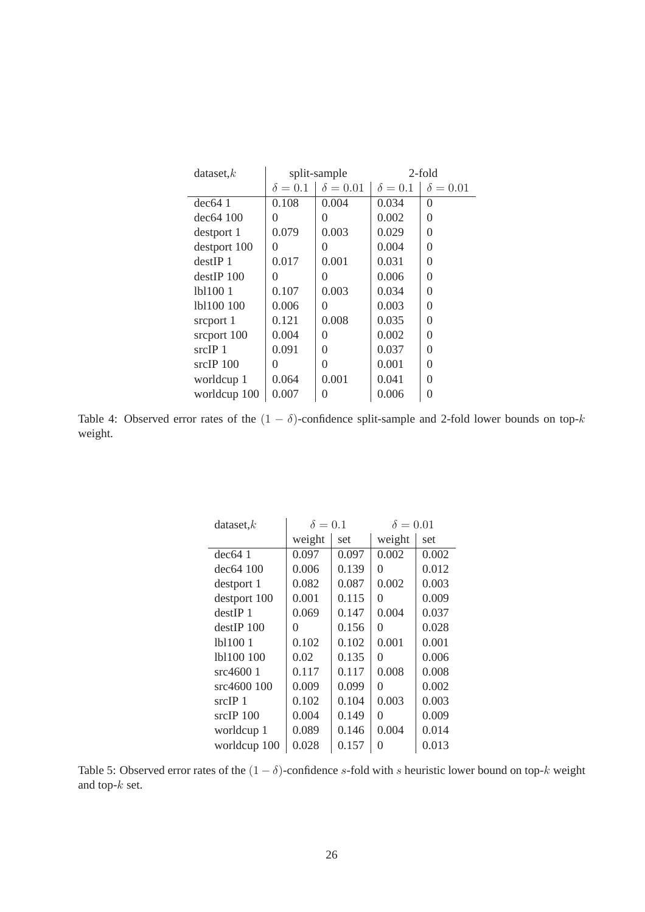| dataset, $k$ | split-sample   |                 | 2-fold         |                 |
|--------------|----------------|-----------------|----------------|-----------------|
|              | $\delta = 0.1$ | $\delta = 0.01$ | $\delta = 0.1$ | $\delta = 0.01$ |
| dec641       | 0.108          | 0.004           | 0.034          | 0               |
| dec64100     | 0              | 0               | 0.002          | 0               |
| destport 1   | 0.079          | 0.003           | 0.029          | $\Omega$        |
| destport 100 | 0              | 0               | 0.004          | 0               |
| destIP1      | 0.017          | 0.001           | 0.031          | $\Omega$        |
| destIP 100   | 0              | 0               | 0.006          | $\Omega$        |
| Ibl100 1     | 0.107          | 0.003           | 0.034          | $\Omega$        |
| lb1100 100   | 0.006          | 0               | 0.003          | $\Omega$        |
| sreport 1    | 0.121          | 0.008           | 0.035          | 0               |
| sreport 100  | 0.004          | 0               | 0.002          | $\Omega$        |
| srcIP1       | 0.091          | 0               | 0.037          | 0               |
| srcIP $100$  | 0              | 0               | 0.001          | 0               |
| worldcup 1   | 0.064          | 0.001           | 0.041          | $\Omega$        |
| worldcup 100 | 0.007          | 0               | 0.006          | 0               |

<span id="page-26-0"></span>Table 4: Observed error rates of the  $(1 - \delta)$ -confidence split-sample and 2-fold lower bounds on top-k weight.

| dataset, $k$        | $\delta = 0.1$ |       | $\delta = 0.01$ |       |
|---------------------|----------------|-------|-----------------|-------|
|                     | weight         | set   | weight          | set   |
| dec641              | 0.097          | 0.097 | 0.002           | 0.002 |
| dec64100            | 0.006          | 0.139 | $\Omega$        | 0.012 |
| destport 1          | 0.082          | 0.087 | 0.002           | 0.003 |
| destport 100        | 0.001          | 0.115 | 0               | 0.009 |
| destIP <sub>1</sub> | 0.069          | 0.147 | 0.004           | 0.037 |
| destIP 100          | 0              | 0.156 | 0               | 0.028 |
| 1b11001             | 0.102          | 0.102 | 0.001           | 0.001 |
| lb1100 100          | 0.02           | 0.135 | $\Omega$        | 0.006 |
| src46001            | 0.117          | 0.117 | 0.008           | 0.008 |
| src4600 100         | 0.009          | 0.099 | $\Omega$        | 0.002 |
| srcIP1              | 0.102          | 0.104 | 0.003           | 0.003 |
| srcIP $100$         | 0.004          | 0.149 | 0               | 0.009 |
| worldcup 1          | 0.089          | 0.146 | 0.004           | 0.014 |
| worldcup 100        | 0.028          | 0.157 | 0               | 0.013 |

<span id="page-26-1"></span>Table 5: Observed error rates of the  $(1 - \delta)$ -confidence s-fold with s heuristic lower bound on top-k weight and top-k set.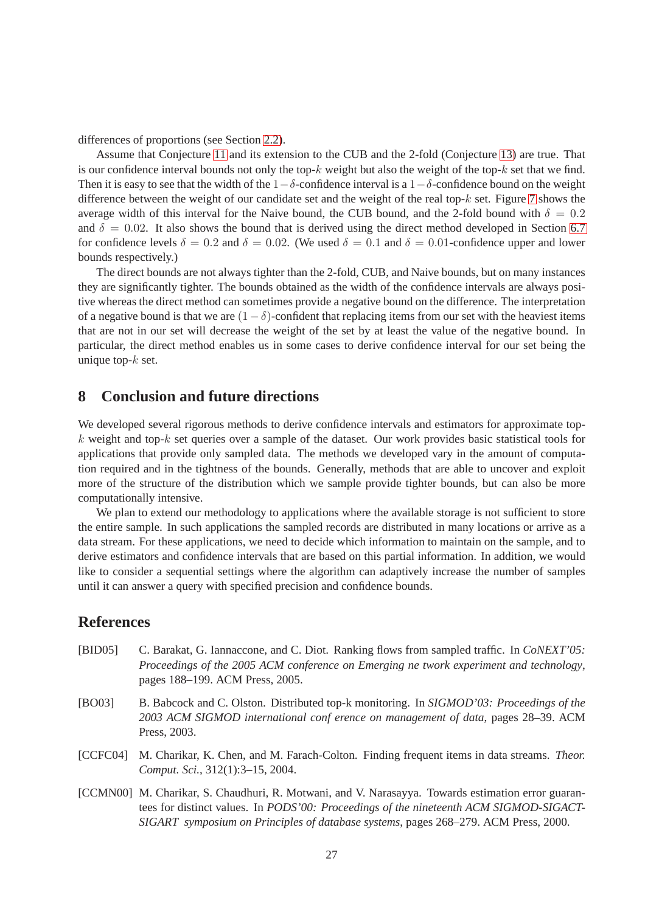differences of proportions (see Section [2.2\)](#page-4-1).

Assume that Conjecture [11](#page-11-1) and its extension to the CUB and the 2-fold (Conjecture [13\)](#page-16-0) are true. That is our confidence interval bounds not only the top-k weight but also the weight of the top-k set that we find. Then it is easy to see that the width of the  $1-\delta$ -confidence interval is a  $1-\delta$ -confidence bound on the weight difference between the weight of our candidate set and the weight of the real top-k set. Figure [7](#page-28-4) shows the average width of this interval for the Naive bound, the CUB bound, and the 2-fold bound with  $\delta = 0.2$ and  $\delta = 0.02$ . It also shows the bound that is derived using the direct method developed in Section [6.7](#page-18-0) for confidence levels  $\delta = 0.2$  and  $\delta = 0.02$ . (We used  $\delta = 0.1$  and  $\delta = 0.01$ -confidence upper and lower bounds respectively.)

The direct bounds are not always tighter than the 2-fold, CUB, and Naive bounds, but on many instances they are significantly tighter. The bounds obtained as the width of the confidence intervals are always positive whereas the direct method can sometimes provide a negative bound on the difference. The interpretation of a negative bound is that we are  $(1-\delta)$ -confident that replacing items from our set with the heaviest items that are not in our set will decrease the weight of the set by at least the value of the negative bound. In particular, the direct method enables us in some cases to derive confidence interval for our set being the unique top- $k$  set.

# **8 Conclusion and future directions**

We developed several rigorous methods to derive confidence intervals and estimators for approximate top $k$  weight and top- $k$  set queries over a sample of the dataset. Our work provides basic statistical tools for applications that provide only sampled data. The methods we developed vary in the amount of computation required and in the tightness of the bounds. Generally, methods that are able to uncover and exploit more of the structure of the distribution which we sample provide tighter bounds, but can also be more computationally intensive.

We plan to extend our methodology to applications where the available storage is not sufficient to store the entire sample. In such applications the sampled records are distributed in many locations or arrive as a data stream. For these applications, we need to decide which information to maintain on the sample, and to derive estimators and confidence intervals that are based on this partial information. In addition, we would like to consider a sequential settings where the algorithm can adaptively increase the number of samples until it can answer a query with specified precision and confidence bounds.

# **References**

- <span id="page-27-1"></span>[BID05] C. Barakat, G. Iannaccone, and C. Diot. Ranking flows from sampled traffic. In *CoNEXT'05: Proceedings of the 2005 ACM conference on Emerging ne twork experiment and technology*, pages 188–199. ACM Press, 2005.
- <span id="page-27-3"></span>[BO03] B. Babcock and C. Olston. Distributed top-k monitoring. In *SIGMOD'03: Proceedings of the 2003 ACM SIGMOD international conf erence on management of data*, pages 28–39. ACM Press, 2003.
- <span id="page-27-2"></span>[CCFC04] M. Charikar, K. Chen, and M. Farach-Colton. Finding frequent items in data streams. *Theor. Comput. Sci.*, 312(1):3–15, 2004.
- <span id="page-27-0"></span>[CCMN00] M. Charikar, S. Chaudhuri, R. Motwani, and V. Narasayya. Towards estimation error guarantees for distinct values. In *PODS'00: Proceedings of the nineteenth ACM SIGMOD-SIGACT-SIGART symposium on Principles of database systems*, pages 268–279. ACM Press, 2000.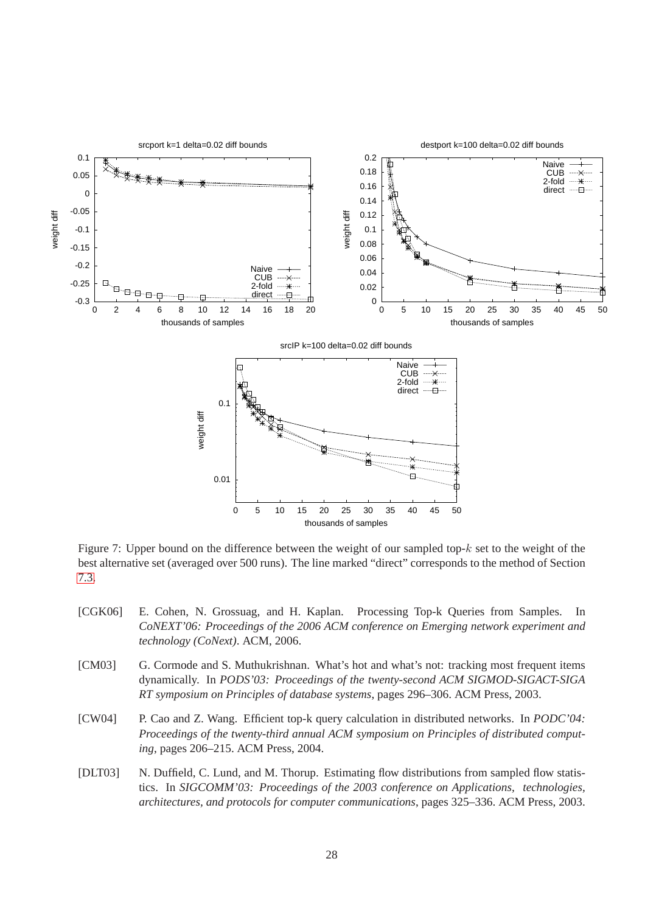

<span id="page-28-4"></span>Figure 7: Upper bound on the difference between the weight of our sampled top-k set to the weight of the best alternative set (averaged over 500 runs). The line marked "direct" corresponds to the method of Section [7.3.](#page-25-1)

- <span id="page-28-3"></span>[CGK06] E. Cohen, N. Grossuag, and H. Kaplan. Processing Top-k Queries from Samples. In *CoNEXT'06: Proceedings of the 2006 ACM conference on Emerging network experiment and technology (CoNext)*. ACM, 2006.
- <span id="page-28-1"></span>[CM03] G. Cormode and S. Muthukrishnan. What's hot and what's not: tracking most frequent items dynamically. In *PODS'03: Proceedings of the twenty-second ACM SIGMOD-SIGACT-SIGA RT symposium on Principles of database systems*, pages 296–306. ACM Press, 2003.
- <span id="page-28-2"></span>[CW04] P. Cao and Z. Wang. Efficient top-k query calculation in distributed networks. In *PODC'04: Proceedings of the twenty-third annual ACM symposium on Principles of distributed computing*, pages 206–215. ACM Press, 2004.
- <span id="page-28-0"></span>[DLT03] N. Duffield, C. Lund, and M. Thorup. Estimating flow distributions from sampled flow statistics. In *SIGCOMM'03: Proceedings of the 2003 conference on Applications, technologies, architectures, and protocols for computer communications*, pages 325–336. ACM Press, 2003.